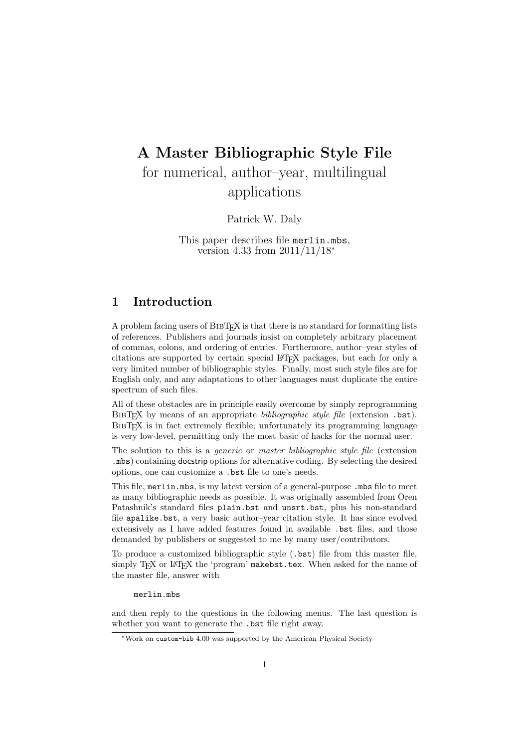# A Master Bibliographic Style File for numerical, author–year, multilingual applications

Patrick W. Daly

This paper describes file merlin.mbs, version 4.33 from 2011/11/18<sup>∗</sup>

# 1 Introduction

A problem facing users of BibTEX is that there is no standard for formatting lists of references. Publishers and journals insist on completely arbitrary placement of commas, colons, and ordering of entries. Furthermore, author–year styles of citations are supported by certain special LATEX packages, but each for only a very limited number of bibliographic styles. Finally, most such style files are for English only, and any adaptations to other languages must duplicate the entire spectrum of such files.

All of these obstacles are in principle easily overcome by simply reprogramming BIBT<sub>EX</sub> by means of an appropriate *bibliographic style file* (extension .bst). BIBT<sub>EX</sub> is in fact extremely flexible; unfortunately its programming language is very low-level, permitting only the most basic of hacks for the normal user.

The solution to this is a *generic* or *master bibliographic style file* (extension .mbs) containing docstrip options for alternative coding. By selecting the desired options, one can customize a .bst file to one's needs.

This file, merlin.mbs, is my latest version of a general-purpose .mbs file to meet as many bibliographic needs as possible. It was originally assembled from Oren Patashnik's standard files plain.bst and unsrt.bst, plus his non-standard file apalike.bst, a very basic author–year citation style. It has since evolved extensively as I have added features found in available .bst files, and those demanded by publishers or suggested to me by many user/contributors.

To produce a customized bibliographic style (.bst) file from this master file, simply T<sub>F</sub>X or L<sup>AT</sup><sub>F</sub>X the 'program' makebst.tex. When asked for the name of the master file, answer with

merlin.mbs

and then reply to the questions in the following menus. The last question is whether you want to generate the .bst file right away.

<sup>∗</sup>Work on custom-bib 4.00 was supported by the American Physical Society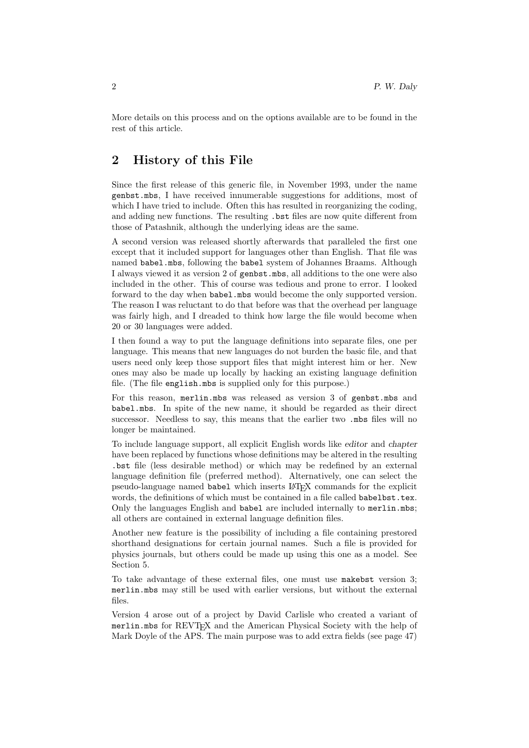More details on this process and on the options available are to be found in the rest of this article.

# 2 History of this File

Since the first release of this generic file, in November 1993, under the name genbst.mbs, I have received innumerable suggestions for additions, most of which I have tried to include. Often this has resulted in reorganizing the coding, and adding new functions. The resulting .bst files are now quite different from those of Patashnik, although the underlying ideas are the same.

A second version was released shortly afterwards that paralleled the first one except that it included support for languages other than English. That file was named babel.mbs, following the babel system of Johannes Braams. Although I always viewed it as version 2 of genbst.mbs, all additions to the one were also included in the other. This of course was tedious and prone to error. I looked forward to the day when babel.mbs would become the only supported version. The reason I was reluctant to do that before was that the overhead per language was fairly high, and I dreaded to think how large the file would become when 20 or 30 languages were added.

I then found a way to put the language definitions into separate files, one per language. This means that new languages do not burden the basic file, and that users need only keep those support files that might interest him or her. New ones may also be made up locally by hacking an existing language definition file. (The file english.mbs is supplied only for this purpose.)

For this reason, merlin.mbs was released as version 3 of genbst.mbs and babel.mbs. In spite of the new name, it should be regarded as their direct successor. Needless to say, this means that the earlier two .mbs files will no longer be maintained.

To include language support, all explicit English words like editor and chapter have been replaced by functions whose definitions may be altered in the resulting .bst file (less desirable method) or which may be redefined by an external language definition file (preferred method). Alternatively, one can select the pseudo-language named babel which inserts LAT<sub>EX</sub> commands for the explicit words, the definitions of which must be contained in a file called babelbst.tex. Only the languages English and babel are included internally to merlin.mbs; all others are contained in external language definition files.

Another new feature is the possibility of including a file containing prestored shorthand designations for certain journal names. Such a file is provided for physics journals, but others could be made up using this one as a model. See Section 5.

To take advantage of these external files, one must use makebst version 3; merlin.mbs may still be used with earlier versions, but without the external files.

Version 4 arose out of a project by David Carlisle who created a variant of merlin.mbs for REVT<sub>EX</sub> and the American Physical Society with the help of Mark Doyle of the APS. The main purpose was to add extra fields (see page 47)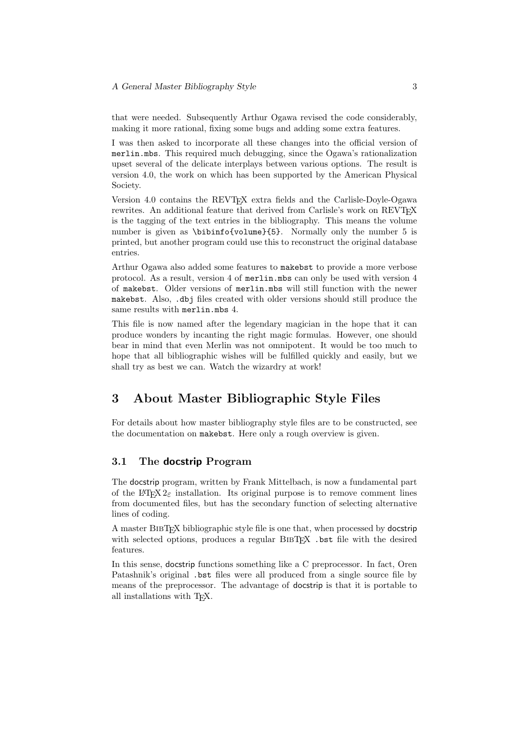that were needed. Subsequently Arthur Ogawa revised the code considerably, making it more rational, fixing some bugs and adding some extra features.

I was then asked to incorporate all these changes into the official version of merlin.mbs. This required much debugging, since the Ogawa's rationalization upset several of the delicate interplays between various options. The result is version 4.0, the work on which has been supported by the American Physical Society.

Version 4.0 contains the REVT<sub>EX</sub> extra fields and the Carlisle-Doyle-Ogawa rewrites. An additional feature that derived from Carlisle's work on REVT<sub>F</sub>X is the tagging of the text entries in the bibliography. This means the volume number is given as \bibinfo{volume}{5}. Normally only the number 5 is printed, but another program could use this to reconstruct the original database entries.

Arthur Ogawa also added some features to makebst to provide a more verbose protocol. As a result, version 4 of merlin.mbs can only be used with version 4 of makebst. Older versions of merlin.mbs will still function with the newer makebst. Also, .dbj files created with older versions should still produce the same results with merlin.mbs 4.

This file is now named after the legendary magician in the hope that it can produce wonders by incanting the right magic formulas. However, one should bear in mind that even Merlin was not omnipotent. It would be too much to hope that all bibliographic wishes will be fulfilled quickly and easily, but we shall try as best we can. Watch the wizardry at work!

# 3 About Master Bibliographic Style Files

For details about how master bibliography style files are to be constructed, see the documentation on makebst. Here only a rough overview is given.

### 3.1 The docstrip Program

The docstrip program, written by Frank Mittelbach, is now a fundamental part of the LAT<sub>EX</sub> 2<sub> $\epsilon$ </sub> installation. Its original purpose is to remove comment lines from documented files, but has the secondary function of selecting alternative lines of coding.

A master BibTEX bibliographic style file is one that, when processed by docstrip with selected options, produces a regular BIBTFX .bst file with the desired features.

In this sense, docstrip functions something like a C preprocessor. In fact, Oren Patashnik's original .bst files were all produced from a single source file by means of the preprocessor. The advantage of docstrip is that it is portable to all installations with TEX.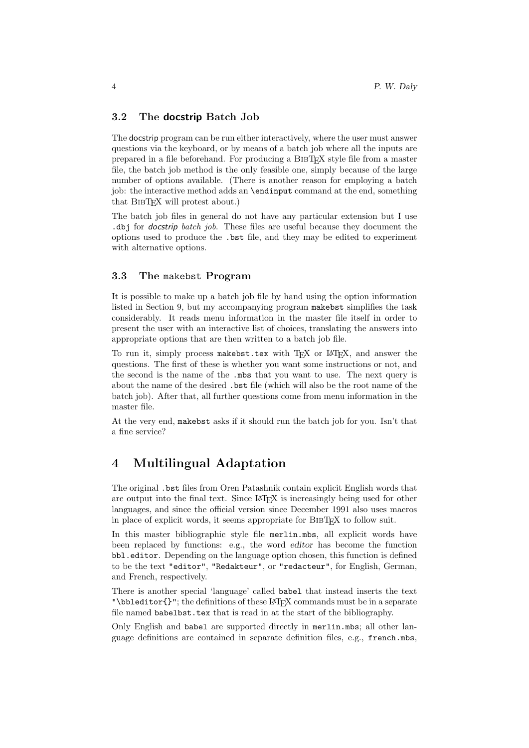### 3.2 The docstrip Batch Job

The docstrip program can be run either interactively, where the user must answer questions via the keyboard, or by means of a batch job where all the inputs are prepared in a file beforehand. For producing a BibTEX style file from a master file, the batch job method is the only feasible one, simply because of the large number of options available. (There is another reason for employing a batch job: the interactive method adds an \endinput command at the end, something that BIBT<sub>EX</sub> will protest about.)

The batch job files in general do not have any particular extension but I use .dbj for docstrip batch job. These files are useful because they document the options used to produce the .bst file, and they may be edited to experiment with alternative options.

### 3.3 The makebst Program

It is possible to make up a batch job file by hand using the option information listed in Section 9, but my accompanying program makebst simplifies the task considerably. It reads menu information in the master file itself in order to present the user with an interactive list of choices, translating the answers into appropriate options that are then written to a batch job file.

To run it, simply process makebst.tex with T<sub>EX</sub> or L<sup>AT</sup>EX, and answer the questions. The first of these is whether you want some instructions or not, and the second is the name of the .mbs that you want to use. The next query is about the name of the desired .bst file (which will also be the root name of the batch job). After that, all further questions come from menu information in the master file.

At the very end, makebst asks if it should run the batch job for you. Isn't that a fine service?

# 4 Multilingual Adaptation

The original .bst files from Oren Patashnik contain explicit English words that are output into the final text. Since LAT<sub>EX</sub> is increasingly being used for other languages, and since the official version since December 1991 also uses macros in place of explicit words, it seems appropriate for BIBT<sub>EX</sub> to follow suit.

In this master bibliographic style file merlin.mbs, all explicit words have been replaced by functions: e.g., the word editor has become the function bbl.editor. Depending on the language option chosen, this function is defined to be the text "editor", "Redakteur", or "redacteur", for English, German, and French, respectively.

There is another special 'language' called babel that instead inserts the text "\bbleditor $\{$ '"; the definitions of these L<sup>AT</sup>EX commands must be in a separate file named babelbst.tex that is read in at the start of the bibliography.

Only English and babel are supported directly in merlin.mbs; all other language definitions are contained in separate definition files, e.g., french.mbs,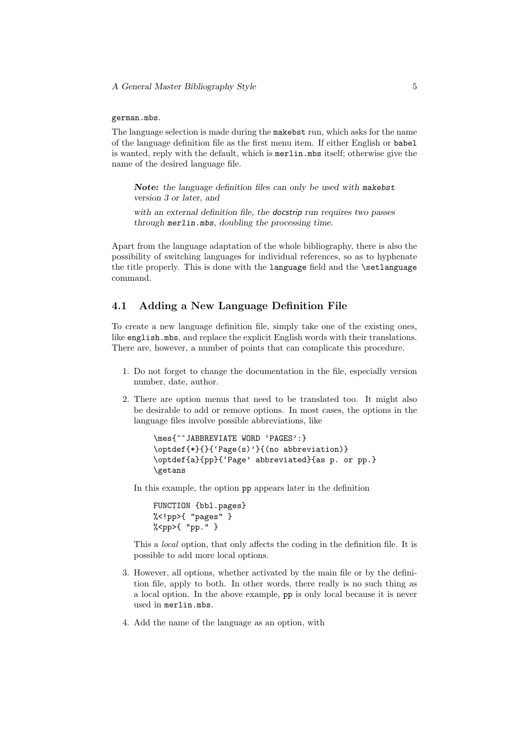#### german.mbs.

The language selection is made during the makebst run, which asks for the name of the language definition file as the first menu item. If either English or babel is wanted, reply with the default, which is merlin.mbs itself; otherwise give the name of the desired language file.

Note: the language definition files can only be used with makebst version 3 or later, and

with an external definition file, the **docstrip** run requires two passes through merlin.mbs, doubling the processing time.

Apart from the language adaptation of the whole bibliography, there is also the possibility of switching languages for individual references, so as to hyphenate the title properly. This is done with the language field and the \setlanguage command.

### 4.1 Adding a New Language Definition File

To create a new language definition file, simply take one of the existing ones, like english.mbs, and replace the explicit English words with their translations. There are, however, a number of points that can complicate this procedure.

- 1. Do not forget to change the documentation in the file, especially version number, date, author.
- 2. There are option menus that need to be translated too. It might also be desirable to add or remove options. In most cases, the options in the language files involve possible abbreviations, like

\mes{^^JABBREVIATE WORD 'PAGES':} \optdef{\*}{}{'Page(s)'}{(no abbreviation)} \optdef{a}{pp}{'Page' abbreviated}{as p. or pp.} \getans

In this example, the option pp appears later in the definition

FUNCTION {bbl.pages} %<!pp>{ "pages" } %<pp>{ "pp." }

This a local option, that only affects the coding in the definition file. It is possible to add more local options.

- 3. However, all options, whether activated by the main file or by the definition file, apply to both. In other words, there really is no such thing as a local option. In the above example, pp is only local because it is never used in merlin.mbs.
- 4. Add the name of the language as an option, with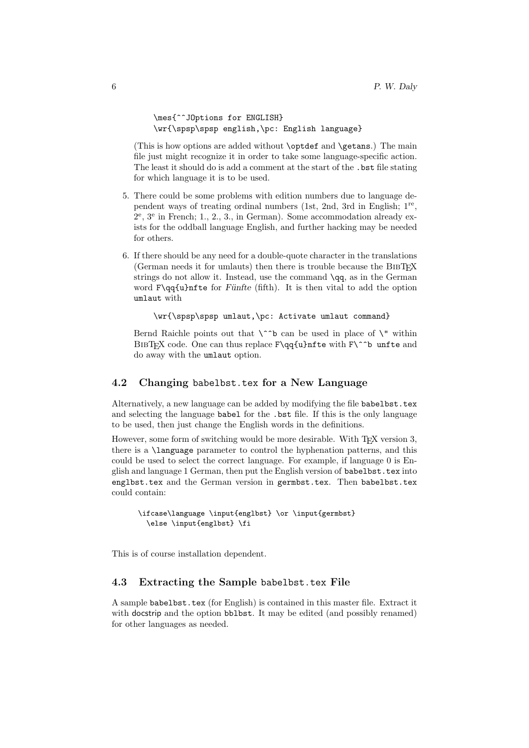```
\mes{^^JOptions for ENGLISH}
\wr{\spsp\spsp english,\pc: English language}
```
(This is how options are added without \optdef and \getans.) The main file just might recognize it in order to take some language-specific action. The least it should do is add a comment at the start of the .bst file stating for which language it is to be used.

- 5. There could be some problems with edition numbers due to language dependent ways of treating ordinal numbers (1st, 2nd, 3rd in English; 1<sup>re</sup>, 2 e , 3<sup>e</sup> in French; 1., 2., 3., in German). Some accommodation already exists for the oddball language English, and further hacking may be needed for others.
- 6. If there should be any need for a double-quote character in the translations (German needs it for umlauts) then there is trouble because the BIBT<sub>EX</sub> strings do not allow it. Instead, use the command \qq, as in the German word  $F\qquadq\{u\}$ nfte for Fünfte (fifth). It is then vital to add the option umlaut with

\wr{\spsp\spsp umlaut,\pc: Activate umlaut command}

Bernd Raichle points out that  $\hat{\ }$  to can be used in place of  $\hat{\ }$  within BIBTFX code. One can thus replace  $F\qquadq\{u\}$ nfte with  $F\$ \b unfte and do away with the umlaut option.

### 4.2 Changing babelbst.tex for a New Language

Alternatively, a new language can be added by modifying the file babelbst.tex and selecting the language babel for the .bst file. If this is the only language to be used, then just change the English words in the definitions.

However, some form of switching would be more desirable. With TEX version 3, there is a \language parameter to control the hyphenation patterns, and this could be used to select the correct language. For example, if language 0 is English and language 1 German, then put the English version of babelbst.tex into englbst.tex and the German version in germbst.tex. Then babelbst.tex could contain:

```
\ifcase\language \input{englbst} \or \input{germbst}
  \else \input{englbst} \fi
```
This is of course installation dependent.

#### 4.3 Extracting the Sample babelbst.tex File

A sample babelbst.tex (for English) is contained in this master file. Extract it with docstrip and the option bblbst. It may be edited (and possibly renamed) for other languages as needed.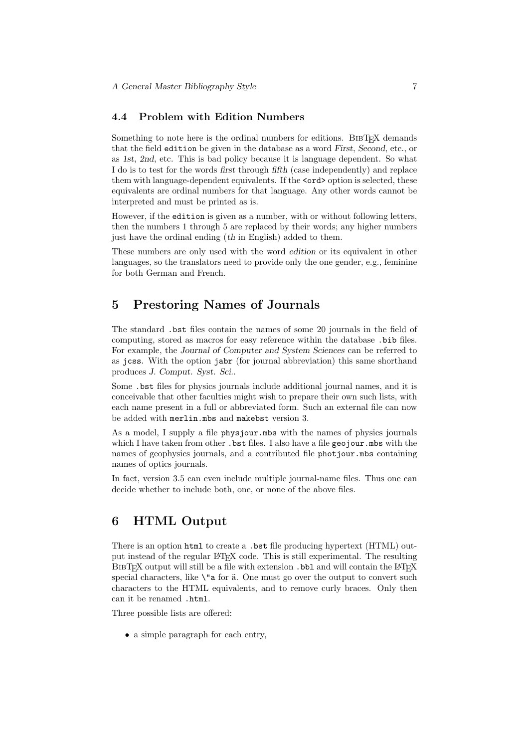#### 4.4 Problem with Edition Numbers

Something to note here is the ordinal numbers for editions. BIBTEX demands that the field edition be given in the database as a word First, Second, etc., or as 1st, 2nd, etc. This is bad policy because it is language dependent. So what I do is to test for the words first through fifth (case independently) and replace them with language-dependent equivalents. If the  $\langle \text{ord}\rangle$  option is selected, these equivalents are ordinal numbers for that language. Any other words cannot be interpreted and must be printed as is.

However, if the edition is given as a number, with or without following letters, then the numbers 1 through 5 are replaced by their words; any higher numbers just have the ordinal ending (th in English) added to them.

These numbers are only used with the word edition or its equivalent in other languages, so the translators need to provide only the one gender, e.g., feminine for both German and French.

### 5 Prestoring Names of Journals

The standard .bst files contain the names of some 20 journals in the field of computing, stored as macros for easy reference within the database .bib files. For example, the Journal of Computer and System Sciences can be referred to as jcss. With the option jabr (for journal abbreviation) this same shorthand produces J. Comput. Syst. Sci..

Some .bst files for physics journals include additional journal names, and it is conceivable that other faculties might wish to prepare their own such lists, with each name present in a full or abbreviated form. Such an external file can now be added with merlin.mbs and makebst version 3.

As a model, I supply a file physjour.mbs with the names of physics journals which I have taken from other . bst files. I also have a file  $geojour$ . mbs with the names of geophysics journals, and a contributed file photjour.mbs containing names of optics journals.

In fact, version 3.5 can even include multiple journal-name files. Thus one can decide whether to include both, one, or none of the above files.

### 6 HTML Output

There is an option html to create a .bst file producing hypertext (HTML) output instead of the regular LAT<sub>EX</sub> code. This is still experimental. The resulting BIBT<sub>EX</sub> output will still be a file with extension .bbl and will contain the L<sup>AT</sup>EX special characters, like  $\iota$ "a for  $\ddot{a}$ . One must go over the output to convert such characters to the HTML equivalents, and to remove curly braces. Only then can it be renamed .html.

Three possible lists are offered:

• a simple paragraph for each entry,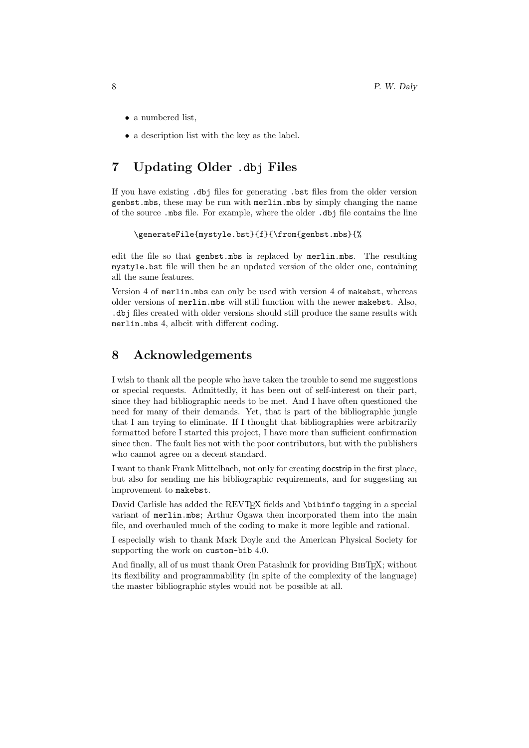- a numbered list,
- a description list with the key as the label.

# 7 Updating Older .dbj Files

If you have existing .dbj files for generating .bst files from the older version genbst.mbs, these may be run with merlin.mbs by simply changing the name of the source .mbs file. For example, where the older .dbj file contains the line

```
\generateFile{mystyle.bst}{f}{\from{genbst.mbs}{%
```
edit the file so that genbst.mbs is replaced by merlin.mbs. The resulting mystyle.bst file will then be an updated version of the older one, containing all the same features.

Version 4 of merlin.mbs can only be used with version 4 of makebst, whereas older versions of merlin.mbs will still function with the newer makebst. Also, .dbj files created with older versions should still produce the same results with merlin.mbs 4, albeit with different coding.

### 8 Acknowledgements

I wish to thank all the people who have taken the trouble to send me suggestions or special requests. Admittedly, it has been out of self-interest on their part, since they had bibliographic needs to be met. And I have often questioned the need for many of their demands. Yet, that is part of the bibliographic jungle that I am trying to eliminate. If I thought that bibliographies were arbitrarily formatted before I started this project, I have more than sufficient confirmation since then. The fault lies not with the poor contributors, but with the publishers who cannot agree on a decent standard.

I want to thank Frank Mittelbach, not only for creating docstrip in the first place, but also for sending me his bibliographic requirements, and for suggesting an improvement to makebst.

David Carlisle has added the REVTEX fields and \bibinfo tagging in a special variant of merlin.mbs; Arthur Ogawa then incorporated them into the main file, and overhauled much of the coding to make it more legible and rational.

I especially wish to thank Mark Doyle and the American Physical Society for supporting the work on custom-bib 4.0.

And finally, all of us must thank Oren Patashnik for providing BIBTEX; without its flexibility and programmability (in spite of the complexity of the language) the master bibliographic styles would not be possible at all.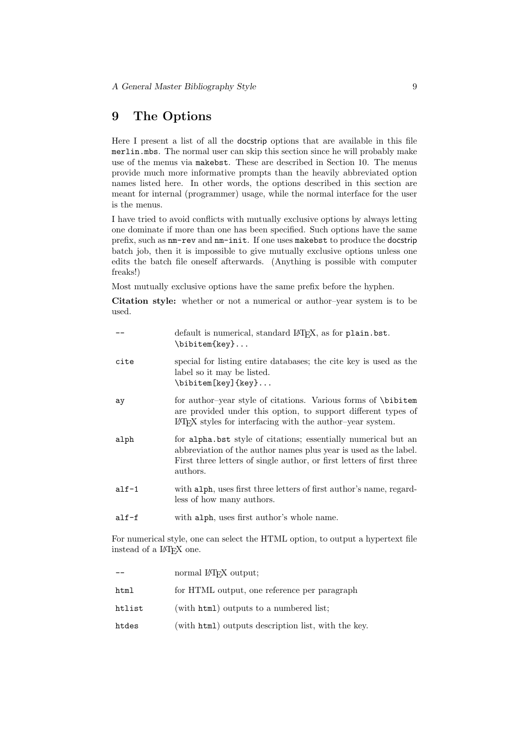# 9 The Options

Here I present a list of all the docstrip options that are available in this file merlin.mbs. The normal user can skip this section since he will probably make use of the menus via makebst. These are described in Section 10. The menus provide much more informative prompts than the heavily abbreviated option names listed here. In other words, the options described in this section are meant for internal (programmer) usage, while the normal interface for the user is the menus.

I have tried to avoid conflicts with mutually exclusive options by always letting one dominate if more than one has been specified. Such options have the same prefix, such as nm-rev and nm-init. If one uses makebst to produce the docstrip batch job, then it is impossible to give mutually exclusive options unless one edits the batch file oneself afterwards. (Anything is possible with computer freaks!)

Most mutually exclusive options have the same prefix before the hyphen.

Citation style: whether or not a numerical or author–year system is to be used.

|          | default is numerical, standard IATFX, as for plain.bst.<br>\bibitem{key}                                                                                                                                                |
|----------|-------------------------------------------------------------------------------------------------------------------------------------------------------------------------------------------------------------------------|
| cite     | special for listing entire databases; the cite key is used as the<br>label so it may be listed.<br>\bibitem[key]{key}                                                                                                   |
| ay       | for author-year style of citations. Various forms of \bibitem<br>are provided under this option, to support different types of<br>IAT <sub>F</sub> X styles for interfacing with the author-year system.                |
| alph     | for alpha.bst style of citations; essentially numerical but an<br>abbreviation of the author names plus year is used as the label.<br>First three letters of single author, or first letters of first three<br>authors. |
| $a$ lf-1 | with alph, uses first three letters of first author's name, regard-<br>less of how many authors.                                                                                                                        |
| alf-f    | with alph, uses first author's whole name.                                                                                                                                                                              |

For numerical style, one can select the HTML option, to output a hypertext file instead of a LATEX one.

|        | normal LAT <sub>F</sub> X output;                   |
|--------|-----------------------------------------------------|
| html   | for HTML output, one reference per paragraph        |
| htlist | (with html) outputs to a numbered list;             |
| htdes  | (with html) outputs description list, with the key. |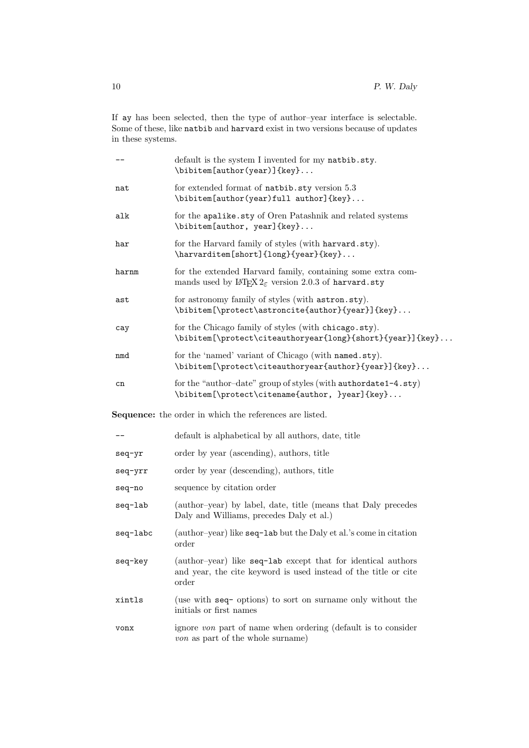If ay has been selected, then the type of author–year interface is selectable. Some of these, like natbib and harvard exist in two versions because of updates in these systems.

|                                                                | default is the system I invented for my natbib.sty.<br>\bibitem[author(year)]{key}                                                        |  |
|----------------------------------------------------------------|-------------------------------------------------------------------------------------------------------------------------------------------|--|
| nat                                                            | for extended format of natbib.sty version 5.3<br>\bibitem[author(year)full author]{key}                                                   |  |
| alk                                                            | for the apalike.sty of Oren Patashnik and related systems<br>\bibitem[author, year]{key}                                                  |  |
| har                                                            | for the Harvard family of styles (with harvard.sty).<br>\harvarditem[short]{long}{year}{key}                                              |  |
| harnm                                                          | for the extended Harvard family, containing some extra com-<br>mands used by $\text{LFT}_F X2_{\varepsilon}$ version 2.0.3 of harvard.sty |  |
| ast                                                            | for astronomy family of styles (with astron.sty).<br>\bibitem[\protect\astroncite{author}{year}]{key}                                     |  |
| cay                                                            | for the Chicago family of styles (with chicago.sty).<br>\bibitem[\protect\citeauthoryear{long}{short}{year}]{key}                         |  |
| nmd                                                            | for the 'named' variant of Chicago (with named.sty).<br>\bibitem[\protect\citeauthoryear{author}{year}]{key}                              |  |
| cn                                                             | for the "author-date" group of styles (with authordate1-4.sty)<br>\bibitem[\protect\citename{author, }year]{key}                          |  |
| <b>Sequence:</b> the order in which the references are listed. |                                                                                                                                           |  |
|                                                                | default is alphabetical by all authors, date, title                                                                                       |  |
| seq-yr                                                         | order by year (ascending), authors, title                                                                                                 |  |
| seq-yrr                                                        | order by year (descending), authors, title                                                                                                |  |
| seq-no                                                         | sequence by citation order                                                                                                                |  |
| seq-lab                                                        | (author-year) by label, date, title (means that Daly precedes<br>Daly and Williams, precedes Daly et al.)                                 |  |
| seq-labc                                                       | (author-year) like seq-lab but the Daly et al.'s come in citation<br>order                                                                |  |

- seq-key (author–year) like seq-lab except that for identical authors and year, the cite keyword is used instead of the title or cite order
- xintls (use with seq- options) to sort on surname only without the initials or first names
- vonx ignore von part of name when ordering (default is to consider von as part of the whole surname)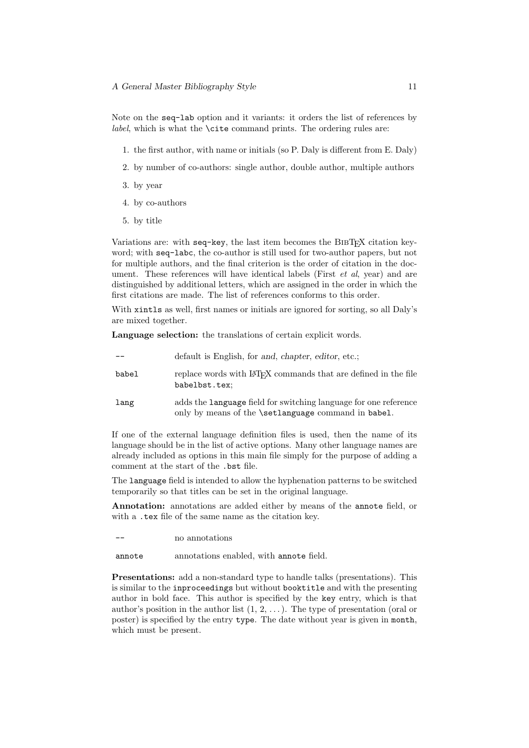Note on the seq-lab option and it variants: it orders the list of references by *label*, which is what the  $\text{cite command}$  prints. The ordering rules are:

- 1. the first author, with name or initials (so P. Daly is different from E. Daly)
- 2. by number of co-authors: single author, double author, multiple authors
- 3. by year
- 4. by co-authors
- 5. by title

Variations are: with seq-key, the last item becomes the BIBT<sub>EX</sub> citation keyword; with seq-labc, the co-author is still used for two-author papers, but not for multiple authors, and the final criterion is the order of citation in the document. These references will have identical labels (First *et al.*, year) and are distinguished by additional letters, which are assigned in the order in which the first citations are made. The list of references conforms to this order.

With **xintls** as well, first names or initials are ignored for sorting, so all Daly's are mixed together.

Language selection: the translations of certain explicit words.

|       | default is English, for and, chapter, editor, etc.;                                                                                   |
|-------|---------------------------------------------------------------------------------------------------------------------------------------|
| babel | replace words with LAT <sub>F</sub> X commands that are defined in the file<br>babelbst.tex;                                          |
| lang  | adds the <b>Language</b> field for switching language for one reference<br>only by means of the <b>\setlanguage</b> command in babel. |
|       | $0.1$ 11 10 10 $0.1$ 11 11 11<br>$\mathbf{r}$ .                                                                                       |

If one of the external language definition files is used, then the name of its language should be in the list of active options. Many other language names are already included as options in this main file simply for the purpose of adding a comment at the start of the .bst file.

The language field is intended to allow the hyphenation patterns to be switched temporarily so that titles can be set in the original language.

Annotation: annotations are added either by means of the annote field, or with a .tex file of the same name as the citation key.

no annotations

annote annotations enabled, with annote field.

Presentations: add a non-standard type to handle talks (presentations). This is similar to the inproceedings but without booktitle and with the presenting author in bold face. This author is specified by the key entry, which is that author's position in the author list  $(1, 2, \ldots)$ . The type of presentation (oral or poster) is specified by the entry type. The date without year is given in month, which must be present.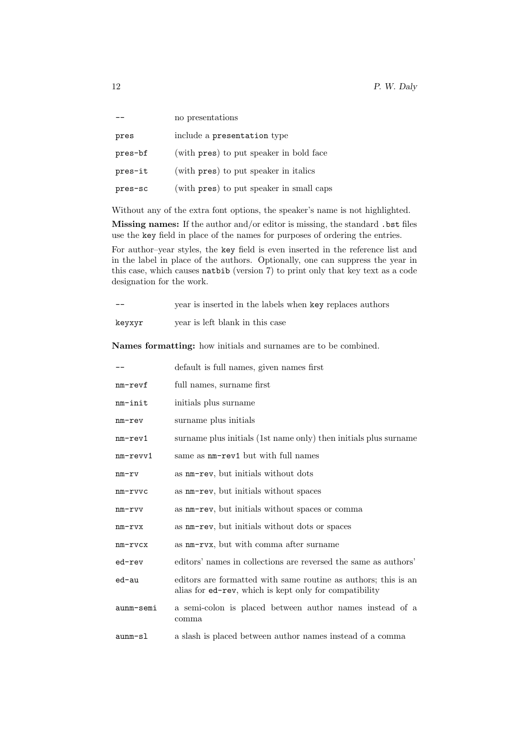|         | no presentations                         |
|---------|------------------------------------------|
| pres    | include a presentation type              |
| pres-bf | (with pres) to put speaker in bold face  |
| pres-it | (with pres) to put speaker in italics    |
| pres-sc | (with pres) to put speaker in small caps |

Without any of the extra font options, the speaker's name is not highlighted.

Missing names: If the author and/or editor is missing, the standard .bst files use the key field in place of the names for purposes of ordering the entries.

For author–year styles, the key field is even inserted in the reference list and in the label in place of the authors. Optionally, one can suppress the year in this case, which causes natbib (version 7) to print only that key text as a code designation for the work.

| $- -$  | year is inserted in the labels when key replaces authors |
|--------|----------------------------------------------------------|
| keyxyr | year is left blank in this case                          |

Names formatting: how initials and surnames are to be combined.

|               | default is full names, given names first                                                                                 |
|---------------|--------------------------------------------------------------------------------------------------------------------------|
| nm-revf       | full names, surname first                                                                                                |
| nm-init       | initials plus surname                                                                                                    |
| nm-rev        | surname plus initials                                                                                                    |
| $nm$ - $rev1$ | surname plus initials (1st name only) then initials plus surname                                                         |
| nm-revv1      | same as $nm$ -rev1 but with full names                                                                                   |
| nm-rv         | as nm-rev, but initials without dots                                                                                     |
| $nm$ - $rvvc$ | as nm-rev, but initials without spaces                                                                                   |
| nm-rvv        | as $nm$ -rev, but initials without spaces or comma                                                                       |
| nm-rvx        | as nm-rev, but initials without dots or spaces                                                                           |
| nm-rvcx       | as $nm-rvx$ , but with comma after surname                                                                               |
| ed-rev        | editors' names in collections are reversed the same as authors'                                                          |
| ed-au         | editors are formatted with same routine as authors; this is an<br>alias for ed-rev, which is kept only for compatibility |
| aunm-semi     | a semi-colon is placed between author names instead of a<br>comma                                                        |
| aunm-sl       | a slash is placed between author names instead of a comma                                                                |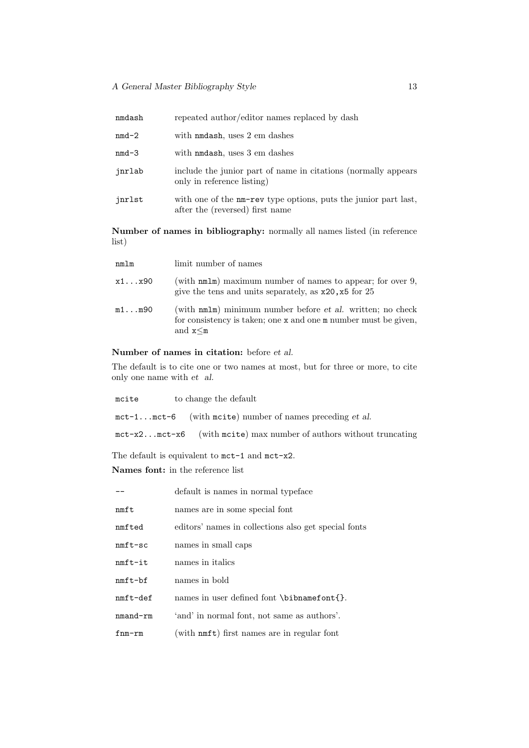| nmdash  | repeated author/editor names replaced by dash                                                      |
|---------|----------------------------------------------------------------------------------------------------|
| $nmd-2$ | with nmdash, uses 2 em dashes                                                                      |
| nmd-3   | with nodash, uses 3 em dashes                                                                      |
| jnrlab  | include the junior part of name in citations (normally appears)<br>only in reference listing)      |
| jnrlst  | with one of the nm-rev type options, puts the junior part last,<br>after the (reversed) first name |

Number of names in bibliography: normally all names listed (in reference list)

| nmlm            | limit number of names                                                                                                                           |
|-----------------|-------------------------------------------------------------------------------------------------------------------------------------------------|
| $x1 \ldots x90$ | (with $nmlm$ ) maximum number of names to appear; for over 9,<br>give the tens and units separately, as $x20, x5$ for 25                        |
| m1m90           | (with nmlm) minimum number before et al. written; no check<br>for consistency is taken; one x and one m number must be given,<br>and $x \leq m$ |

### Number of names in citation: before et al.

The default is to cite one or two names at most, but for three or more, to cite only one name with et al.

| mcite | to change the default                                                        |
|-------|------------------------------------------------------------------------------|
|       | $mct-1$ $mct-6$ (with most example mumber of names preceding et al.          |
|       | $mct-x2mct-x6$ (with most expansion max number of authors without truncating |

The default is equivalent to mct-1 and mct-x2. Names font: in the reference list

|            | default is names in normal typeface                  |
|------------|------------------------------------------------------|
| nmft       | names are in some special font                       |
| nmfted     | editors' names in collections also get special fonts |
| $nmft-sc$  | names in small caps                                  |
| $nmft-it$  | names in <i>italics</i>                              |
| $nmft-bf$  | names in bold                                        |
| $nmft-def$ | names in user defined font \bibnamefont{}.           |
| nmand-rm   | 'and' in normal font, not same as authors'.          |
| $f$ nm-rm  | (with nmft) first names are in regular font          |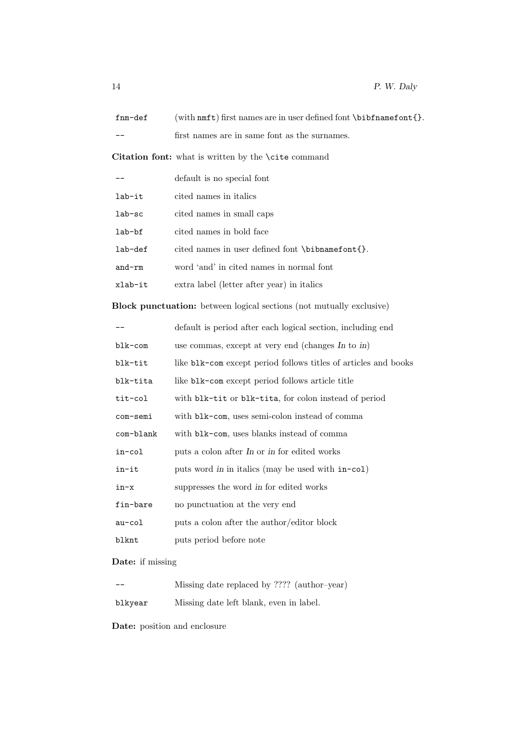| fnm-def                                                                     | (with $nmft$ ) first names are in user defined font $\bibfnamefont\}.$ |  |
|-----------------------------------------------------------------------------|------------------------------------------------------------------------|--|
|                                                                             | first names are in same font as the surnames.                          |  |
|                                                                             | Citation font: what is written by the <i>\cite command</i>             |  |
|                                                                             | default is no special font                                             |  |
| lab-it                                                                      | cited names in italics                                                 |  |
| lab-sc                                                                      | cited names in small caps                                              |  |
| lab-bf                                                                      | cited names in bold face                                               |  |
| lab-def                                                                     | cited names in user defined font \bibnamefont{}.                       |  |
| and-rm                                                                      | word 'and' in cited names in normal font                               |  |
| xlab-it                                                                     | extra label (letter after year) in italics                             |  |
| <b>Block punctuation:</b> between logical sections (not mutually exclusive) |                                                                        |  |
|                                                                             | default is period after each logical section, including end            |  |
| blk-com                                                                     | use commas, except at very end (changes In to in)                      |  |
| blk-tit                                                                     | like blk-com except period follows titles of articles and books        |  |
| blk-tita                                                                    | like blk-com except period follows article title                       |  |
| tit-col                                                                     | with blk-tit or blk-tita, for colon instead of period                  |  |
| com-semi                                                                    | with blk-com, uses semi-colon instead of comma                         |  |
| com-blank                                                                   | with blk-com, uses blanks instead of comma                             |  |
| in-col                                                                      | puts a colon after In or in for edited works                           |  |
| in-it                                                                       | puts word in in italics (may be used with in-col)                      |  |
| in-x                                                                        | suppresses the word in for edited works                                |  |
| fin-bare                                                                    | no punctuation at the very end                                         |  |
| au-col                                                                      | puts a colon after the author/editor block                             |  |
| blknt                                                                       | puts period before note                                                |  |
|                                                                             |                                                                        |  |

Date: if missing

| $- -$   | Missing date replaced by ???? (author-year) |
|---------|---------------------------------------------|
| blkyear | Missing date left blank, even in label.     |

Date: position and enclosure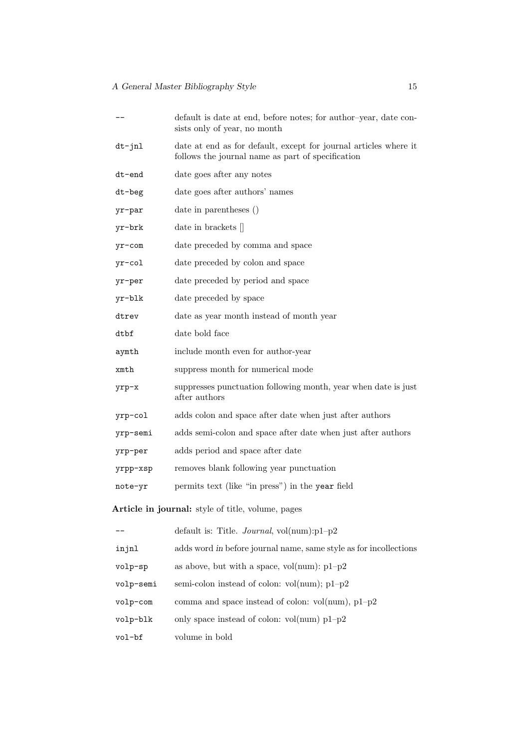|                                                   | default is date at end, before notes; for author-year, date con-<br>sists only of year, no month                      |  |
|---------------------------------------------------|-----------------------------------------------------------------------------------------------------------------------|--|
| dt-jnl                                            | date at end as for default, except for journal articles where it<br>follows the journal name as part of specification |  |
| dt-end                                            | date goes after any notes                                                                                             |  |
| dt-beg                                            | date goes after authors' names                                                                                        |  |
| yr-par                                            | date in parentheses ()                                                                                                |  |
| yr-brk                                            | date in brackets $\parallel$                                                                                          |  |
| yr-com                                            | date preceded by comma and space                                                                                      |  |
| yr-col                                            | date preceded by colon and space                                                                                      |  |
| yr-per                                            | date preceded by period and space                                                                                     |  |
| yr-blk                                            | date preceded by space                                                                                                |  |
| dtrev                                             | date as year month instead of month year                                                                              |  |
| dtbf                                              | date bold face                                                                                                        |  |
| aymth                                             | include month even for author-year                                                                                    |  |
| xmth                                              | suppress month for numerical mode                                                                                     |  |
| yrp-x                                             | suppresses punctuation following month, year when date is just<br>after authors                                       |  |
| yrp-col                                           | adds colon and space after date when just after authors                                                               |  |
| yrp-semi                                          | adds semi-colon and space after date when just after authors                                                          |  |
| yrp-per                                           | adds period and space after date                                                                                      |  |
| yrpp-xsp                                          | removes blank following year punctuation                                                                              |  |
| note-yr                                           | permits text (like "in press") in the year field                                                                      |  |
| Article in journal: style of title, volume, pages |                                                                                                                       |  |
|                                                   | default is: Title. <i>Journal</i> , $vol(num):p1-p2$                                                                  |  |
| injnl                                             | adds word in before journal name, same style as for incollections                                                     |  |
| volp-sp                                           | as above, but with a space, $vol(num)$ : $p1-p2$                                                                      |  |
| volp-semi                                         | semi-colon instead of colon: $vol(num); p1-p2$                                                                        |  |
| volp-com                                          | comma and space instead of colon: $vol(num), p1-p2$                                                                   |  |
| volp-blk                                          | only space instead of colon: $vol(num)$ p1-p2                                                                         |  |

vol-bf volume in bold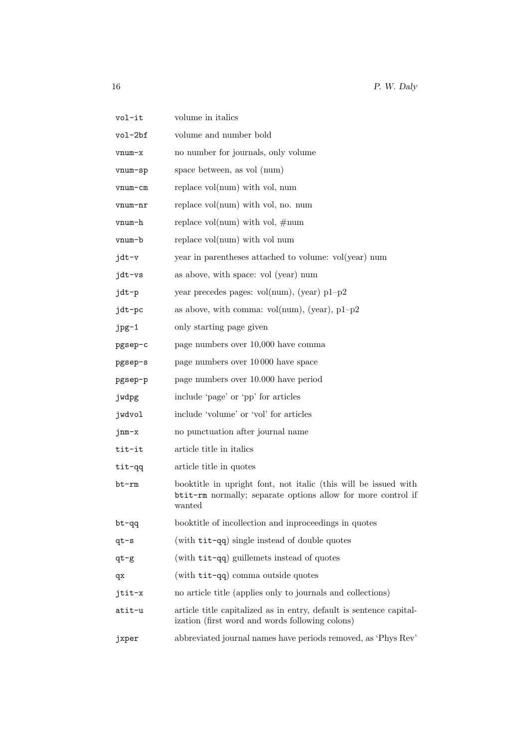| vol-it  | volume in italics                                                                                                                         |
|---------|-------------------------------------------------------------------------------------------------------------------------------------------|
| vol-2bf | volume and number bold                                                                                                                    |
| vnum-x  | no number for journals, only volume                                                                                                       |
| vnum-sp | space between, as vol (num)                                                                                                               |
| vnum-cm | replace $vol(num)$ with $vol$ , num                                                                                                       |
| vnum-nr | replace $vol(num)$ with vol, no. num                                                                                                      |
| vnum-h  | replace vol(num) with vol, $\#num$                                                                                                        |
| vnum-b  | replace vol(num) with vol num                                                                                                             |
| jdt-v   | year in parentheses attached to volume: vol(year) num                                                                                     |
| jdt-vs  | as above, with space: vol (year) num                                                                                                      |
| jdt-p   | year precedes pages: $vol(num)$ , (year) $p1-p2$                                                                                          |
| jdt-pc  | as above, with comma: $vol(num)$ , (year), $p1-p2$                                                                                        |
| jpg-1   | only starting page given                                                                                                                  |
| pgsep-c | page numbers over 10,000 have comma                                                                                                       |
| pgsep-s | page numbers over 10000 have space                                                                                                        |
| pgsep-p | page numbers over 10.000 have period                                                                                                      |
| jwdpg   | include 'page' or 'pp' for articles                                                                                                       |
| jwdvol  | include 'volume' or 'vol' for articles                                                                                                    |
| jnm-x   | no punctuation after journal name                                                                                                         |
| tit-it  | article title in italics                                                                                                                  |
| tit-gg  | article title in quotes                                                                                                                   |
| bt-rm   | booktitle in upright font, not italic (this will be issued with<br>btit-rm normally; separate options allow for more control if<br>wanted |
| bt-qq   | booktitle of incollection and inproceedings in quotes                                                                                     |
| qt-s    | (with tit-qq) single instead of double quotes                                                                                             |
| $qt-g$  | (with tit-qq) guillemets instead of quotes                                                                                                |
| qx      | (with tit-qq) comma outside quotes                                                                                                        |
| jtit-x  | no article title (applies only to journals and collections)                                                                               |
| atit-u  | article title capitalized as in entry, default is sentence capital-<br>ization (first word and words following colons)                    |
| jxper   | abbreviated journal names have periods removed, as 'Phys Rev'                                                                             |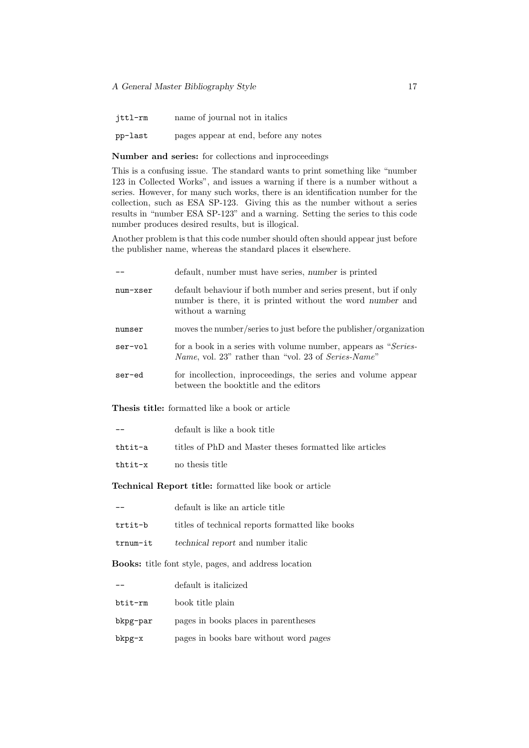jttl-rm name of journal not in italics

pp-last pages appear at end, before any notes

Number and series: for collections and inproceedings

This is a confusing issue. The standard wants to print something like "number 123 in Collected Works", and issues a warning if there is a number without a series. However, for many such works, there is an identification number for the collection, such as ESA SP-123. Giving this as the number without a series results in "number ESA SP-123" and a warning. Setting the series to this code number produces desired results, but is illogical.

Another problem is that this code number should often should appear just before the publisher name, whereas the standard places it elsewhere.

|          | default, number must have series, number is printed                                                                                                 |
|----------|-----------------------------------------------------------------------------------------------------------------------------------------------------|
| num-xser | default behaviour if both number and series present, but if only<br>number is there, it is printed without the word number and<br>without a warning |
| numser   | moves the number/series to just before the publisher/organization                                                                                   |
| ser-vol  | for a book in a series with volume number, appears as "Series-<br><i>Name</i> , vol. 23" rather than "vol. 23 of <i>Series-Name</i> "               |
| ser-ed   | for incollection, inproceedings, the series and volume appear<br>between the booktitle and the editors                                              |

Thesis title: formatted like a book or article

|         | default is like a book title                            |
|---------|---------------------------------------------------------|
| thtit-a | titles of PhD and Master theses formatted like articles |
| thtit-x | no thesis title                                         |

Technical Report title: formatted like book or article

|          | default is like an article title                 |
|----------|--------------------------------------------------|
| trtit-b  | titles of technical reports formatted like books |
| trnum-it | <i>technical report</i> and number italic        |

Books: title font style, pages, and address location

|          | default is italicized                  |
|----------|----------------------------------------|
| btit-rm  | book title plain                       |
| bkpg-par | pages in books places in parentheses   |
| bkpg-x   | pages in books bare without word pages |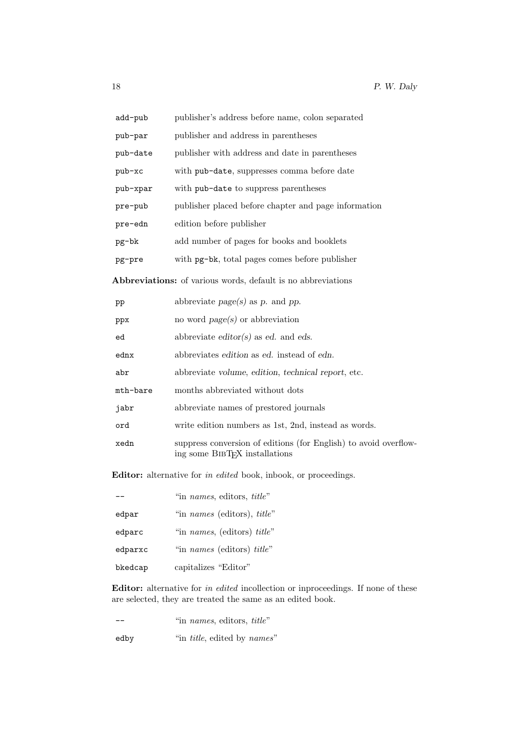| add-pub  | publisher's address before name, colon separated     |
|----------|------------------------------------------------------|
| pub-par  | publisher and address in parentheses                 |
| pub-date | publisher with address and date in parentheses       |
| $pub-xc$ | with pub-date, suppresses comma before date          |
| pub-xpar | with pub-date to suppress parentheses                |
| pre-pub  | publisher placed before chapter and page information |
| pre-edn  | edition before publisher                             |
| pg-bk    | add number of pages for books and booklets           |
| pg-pre   | with pg-bk, total pages comes before publisher       |
|          |                                                      |

Abbreviations: of various words, default is no abbreviations

| pp       | abbreviate $page(s)$ as p. and pp.                                                                             |
|----------|----------------------------------------------------------------------------------------------------------------|
| ppx      | no word $page(s)$ or abbreviation                                                                              |
| ed       | abbreviate editor(s) as ed. and eds.                                                                           |
| ednx     | abbreviates edition as ed. instead of edn.                                                                     |
| abr      | abbreviate volume, edition, technical report, etc.                                                             |
| mth-bare | months abbreviated without dots                                                                                |
| jabr     | abbreviate names of prestored journals                                                                         |
| ord      | write edition numbers as 1st, 2nd, instead as words.                                                           |
| xedn     | suppress conversion of editions (for English) to avoid overflow-<br>ing some BIBT <sub>F</sub> X installations |

Editor: alternative for in edited book, inbook, or proceedings.

|         | "in names, editors, title"                 |
|---------|--------------------------------------------|
| edpar   | "in <i>names</i> (editors), <i>title</i> " |
| edparc  | "in names, (editors) title"                |
| edparxc | "in names (editors) title"                 |
| bkedcap | capitalizes "Editor"                       |

Editor: alternative for in edited incollection or inproceedings. If none of these are selected, they are treated the same as an edited book.

-- "in names, editors, title"

edby  $\qquad \qquad \text{``in title, edited by names''}$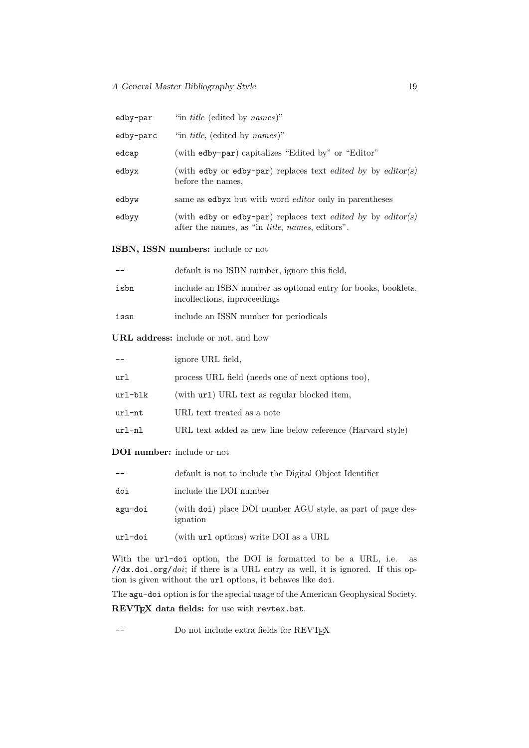#### A General Master Bibliography Style 19

| edby-par                             | "in <i>title</i> (edited by <i>names</i> )"                                                                             |  |
|--------------------------------------|-------------------------------------------------------------------------------------------------------------------------|--|
| edby-parc                            | "in <i>title</i> , (edited by <i>names</i> )"                                                                           |  |
| edcap                                | (with edby-par) capitalizes "Edited by" or "Editor"                                                                     |  |
| edbyx                                | (with edby or edby-par) replaces text edited by by editor(s)<br>before the names,                                       |  |
| edbyw                                | same as edbyx but with word editor only in parentheses                                                                  |  |
| edbyy                                | (with edby or edby-par) replaces text edited by by editor(s)<br>after the names, as "in <i>title, names</i> , editors". |  |
| ISBN, ISSN numbers: include or not   |                                                                                                                         |  |
|                                      | default is no ISBN number, ignore this field,                                                                           |  |
| isbn                                 | include an ISBN number as optional entry for books, booklets,<br>incollections, inproceedings                           |  |
| issn                                 | include an ISSN number for periodicals                                                                                  |  |
| URL address: include or not, and how |                                                                                                                         |  |
|                                      | ignore URL field,                                                                                                       |  |
| url                                  | process URL field (needs one of next options too),                                                                      |  |
| url-blk                              | (with url) URL text as regular blocked item,                                                                            |  |
| $url-nt$                             | URL text treated as a note                                                                                              |  |
| $url-nl$                             | URL text added as new line below reference (Harvard style)                                                              |  |

DOI number: include or not

|         | default is not to include the Digital Object Identifier                 |
|---------|-------------------------------------------------------------------------|
| doi     | include the DOI number                                                  |
| agu-doi | (with doi) place DOI number AGU style, as part of page des-<br>ignation |
| url-doi | (with url options) write DOI as a URL                                   |

With the url-doi option, the DOI is formatted to be a URL, i.e. as //dx.doi.org/doi; if there is a URL entry as well, it is ignored. If this option is given without the url options, it behaves like doi.

The agu-doi option is for the special usage of the American Geophysical Society.

REVT<sub>F</sub>X data fields: for use with revtex.bst.

-- Do not include extra fields for REVTEX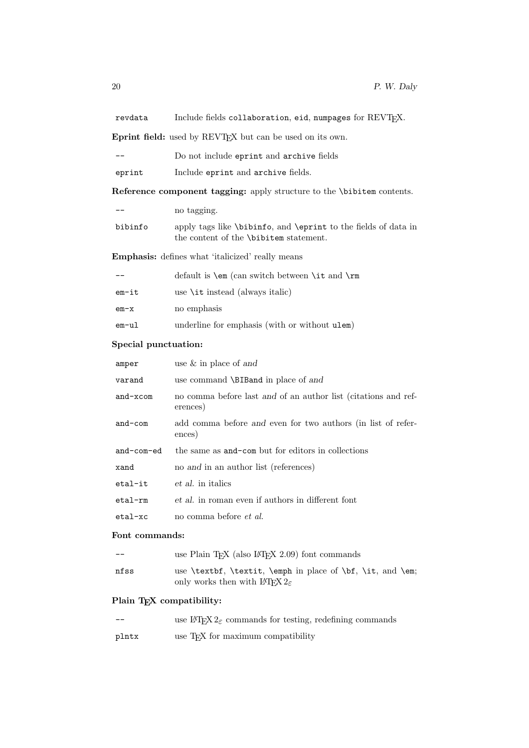revdata Include fields collaboration, eid, numpages for REVTEX.

Eprint field: used by REVTEX but can be used on its own.

| $- -$ |  |  |  |  | Do not include eprint and archive fields |  |
|-------|--|--|--|--|------------------------------------------|--|
|-------|--|--|--|--|------------------------------------------|--|

eprint Include eprint and archive fields.

Reference component tagging: apply structure to the \bibitem contents.

|         | no tagging.                                                                                                                 |
|---------|-----------------------------------------------------------------------------------------------------------------------------|
| bibinfo | apply tags like $\binom{1}{\text{opt}}$ and $\text{opt}$ to the fields of data in<br>the content of the \bibitem statement. |
|         |                                                                                                                             |

Emphasis: defines what 'italicized' really means

|       | default is $\text{cm}$ (can switch between $\text{cm}$ and $\text{cm}$ |
|-------|------------------------------------------------------------------------|
| em-it | use $\iota$ it instead (always italic)                                 |
| em-x  | no emphasis                                                            |
| em-ul | underline for emphasis (with or without ulem)                          |

#### Special punctuation:

| amper      | use $\&$ in place of and                                                   |
|------------|----------------------------------------------------------------------------|
| varand     | use command \BIBand in place of and                                        |
| $and-xcom$ | no comma before last and of an author list (citations and ref-<br>erences) |
| $and$ -com | add comma before and even for two authors (in list of refer-<br>ences)     |
| and-com-ed | the same as and-com but for editors in collections                         |
|            |                                                                            |
| xand       | no and in an author list (references)                                      |
| etal-it    | <i>et al.</i> in italics                                                   |
| etal-rm    | et al. in roman even if authors in different font                          |
| etal-xc    | no comma before et al.                                                     |

#### Font commands:

| $- -$ | use Plain T <sub>F</sub> X (also $I$ <sup><math>\sharp</math></sup> T <sub>F</sub> X 2.09) font commands                    |
|-------|-----------------------------------------------------------------------------------------------------------------------------|
| nfss  | use (textbf, (textit, (emph in place of $\bf{t}$ , $\bf{t}$ , and (emg)<br>only works then with $\text{LTr} X 2_{\epsilon}$ |

### Plain TEX compatibility:

| use IATEX $2\varepsilon$ commands for testing, redefining commands<br>--- |
|---------------------------------------------------------------------------|
|---------------------------------------------------------------------------|

plntx use TEX for maximum compatibility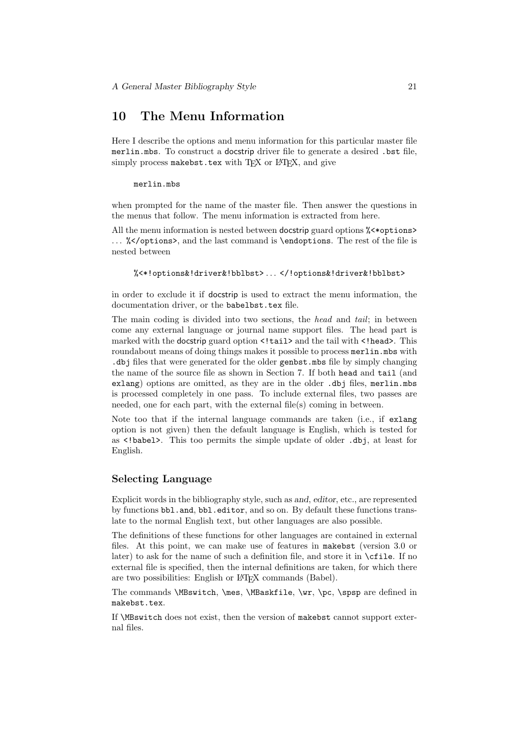# 10 The Menu Information

Here I describe the options and menu information for this particular master file merlin.mbs. To construct a docstrip driver file to generate a desired .bst file, simply process makebst.tex with  $T_FX$  or  $L^2T_FX$ , and give

merlin.mbs

when prompted for the name of the master file. Then answer the questions in the menus that follow. The menu information is extracted from here.

All the menu information is nested between docstrip guard options  $\frac{2}{5}$  <  $\frac{2}{5}$ ... %</options>, and the last command is \endoptions. The rest of the file is nested between

```
%<*!options&!driver&!bblbst> . . . </!options&!driver&!bblbst>
```
in order to exclude it if docstrip is used to extract the menu information, the documentation driver, or the babelbst.tex file.

The main coding is divided into two sections, the head and tail; in between come any external language or journal name support files. The head part is marked with the docstrip guard option <! tail> and the tail with <! head>. This roundabout means of doing things makes it possible to process merlin.mbs with .dbj files that were generated for the older genbst.mbs file by simply changing the name of the source file as shown in Section 7. If both head and tail (and exlang) options are omitted, as they are in the older .dbj files, merlin.mbs is processed completely in one pass. To include external files, two passes are needed, one for each part, with the external file(s) coming in between.

Note too that if the internal language commands are taken (i.e., if exlang option is not given) then the default language is English, which is tested for as <!babel>. This too permits the simple update of older .dbj, at least for English.

#### Selecting Language

Explicit words in the bibliography style, such as and, editor, etc., are represented by functions bbl.and, bbl.editor, and so on. By default these functions translate to the normal English text, but other languages are also possible.

The definitions of these functions for other languages are contained in external files. At this point, we can make use of features in makebst (version 3.0 or later) to ask for the name of such a definition file, and store it in  $\c{file}$ . If no external file is specified, then the internal definitions are taken, for which there are two possibilities: English or IAT<sub>EX</sub> commands (Babel).

The commands \MBswitch, \mes, \MBaskfile, \wr, \pc, \spsp are defined in makebst.tex.

If \MBswitch does not exist, then the version of makebst cannot support external files.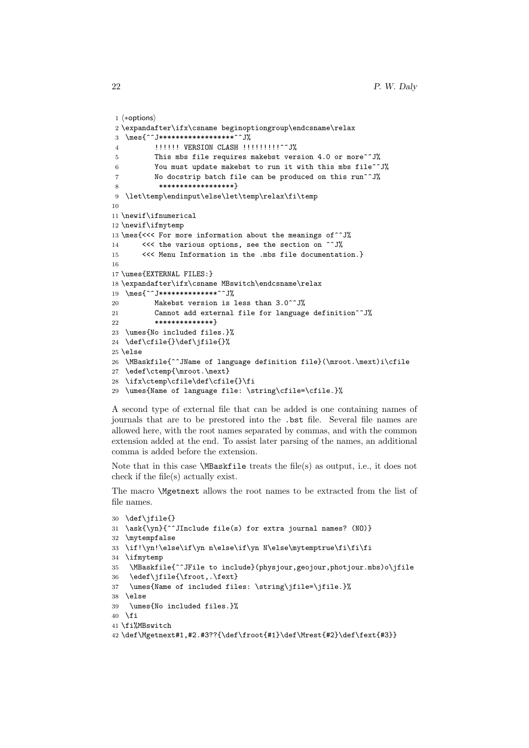```
1 (*options)
2 \expandafter\ifx\csname beginoptiongroup\endcsname\relax
3 \mes{^^J*******************^^J%
4 !!!!!!! VERSION CLASH !!!!!!!!!!^^J%
5 This mbs file requires makebst version 4.0 or more<sup>\simJ%</sup>
6 You must update makebst to run it with this mbs file^^J%
7 No docstrip batch file can be produced on this run^^J%
8 ******************}
9 \let\temp\endinput\else\let\temp\relax\fi\temp
10
11 \newif\ifnumerical
12 \newif\ifmytemp
13 \mes{<<< For more information about the meanings of^^J%
14 <<<< the various options, see the section on ^^J%
15 <<< Menu Information in the .mbs file documentation.}
16
17 \umes{EXTERNAL FILES:}
18 \expandafter\ifx\csname MBswitch\endcsname\relax
19 \mes{^^J***************<sup>^^</sup>J%
20 Makebst version is less than 3.0^^J%
21 Cannot add external file for language definition<sup>^^J</sup>%
22 **************}
23 \umes{No included files.}%
24 \def\cfile{}\def\jfile{}%
25 \else
26 \MBaskfile{^^JName of language definition file}(\mroot.\mext)i\cfile
27 \edef\ctemp{\mroot.\mext}
28 \ifx\ctemp\cfile\def\cfile{}\fi
29 \umes{Name of language file: \string\cfile=\cfile.}%
```
A second type of external file that can be added is one containing names of journals that are to be prestored into the .bst file. Several file names are allowed here, with the root names separated by commas, and with the common extension added at the end. To assist later parsing of the names, an additional comma is added before the extension.

Note that in this case \MBaskfile treats the file(s) as output, i.e., it does not check if the file(s) actually exist.

The macro \Mgetnext allows the root names to be extracted from the list of file names.

```
30 \def\jfile{}
31 \ask{\yn}{^^JInclude file(s) for extra journal names? (NO)}
32 \mytempfalse
33 \if!\yn!\else\if\yn n\else\if\yn N\else\mytemptrue\fi\fi\fi
34 \ifmytemp
35 \MBaskfile{^^JFile to include}(physjour,geojour,photjour.mbs)o\jfile
36 \edef\jfile{\froot,.\fext}
37 \umes{Name of included files: \string\jfile=\jfile.}%
38 \else
39 \umes{No included files.}%
40 \fi
41 \fi%MBswitch
```

```
42 \def\Mgetnext#1,#2.#3??{\def\froot{#1}\def\Mrest{#2}\def\fext{#3}}
```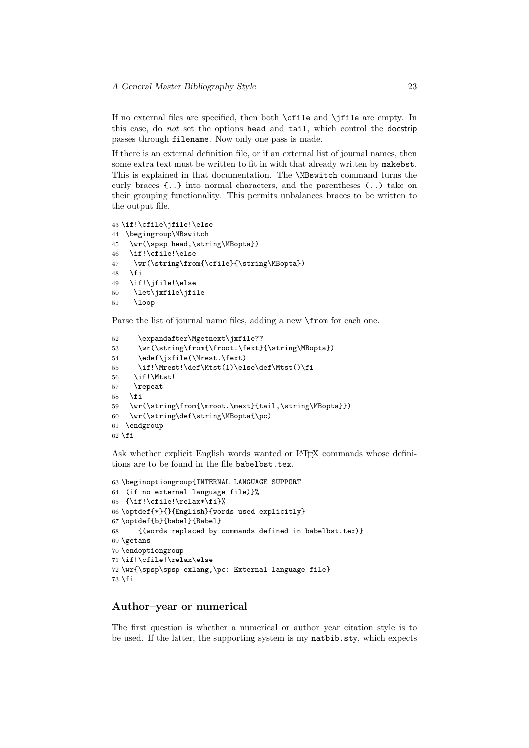If no external files are specified, then both \cfile and \jfile are empty. In this case, do not set the options head and tail, which control the docstrip passes through filename. Now only one pass is made.

If there is an external definition file, or if an external list of journal names, then some extra text must be written to fit in with that already written by makebst. This is explained in that documentation. The \MBswitch command turns the curly braces {..} into normal characters, and the parentheses (..) take on their grouping functionality. This permits unbalances braces to be written to the output file.

```
43 \if!\cfile\jfile!\else
44 \begingroup\MBswitch
45 \wr(\spsp head,\string\MBopta})
46 \if!\cfile!\else
47 \quad \texttt{\label{cfile}{{\string}}\texttt{Dopta}}48 \fi
49 \if!\jfile!\else
50 \let\jxfile\jfile
51 \loop
```
Parse the list of journal name files, adding a new **\from** for each one.

```
52 \expandafter\Mgetnext\jxfile??
53 \wr(\string\from{\froot.\fext}{\string\MBopta})
54 \edef\jxfile(\Mrest.\fext)
55 \if!\Mrest!\def\Mtst(1)\else\def\Mtst()\fi
56 \if!\Mtst!
57 \repeat
58 \fi
59 \wr(\string\from{\mroot.\mext}{tail,\string\MBopta}})
60 \wr(\string\def\string\MBopta{\pc)
61 \endgroup
62 \fi
```
Ask whether explicit English words wanted or L<sup>AT</sup>EX commands whose definitions are to be found in the file babelbst.tex.

```
63 \beginoptiongroup{INTERNAL LANGUAGE SUPPORT
64 (if no external language file)}%
65 {\if!\cfile!\relax*\fi}%
66 \optdef{*}{}{English}{words used explicitly}
67 \optdef{b}{babel}{Babel}
68 {(words replaced by commands defined in babelbst.tex)}
69 \getans
70 \endoptiongroup
71 \if!\cfile!\relax\else
72 \wr{\spsp\spsp exlang,\pc: External language file}
73 \fi
```
### Author–year or numerical

The first question is whether a numerical or author–year citation style is to be used. If the latter, the supporting system is my natbib.sty, which expects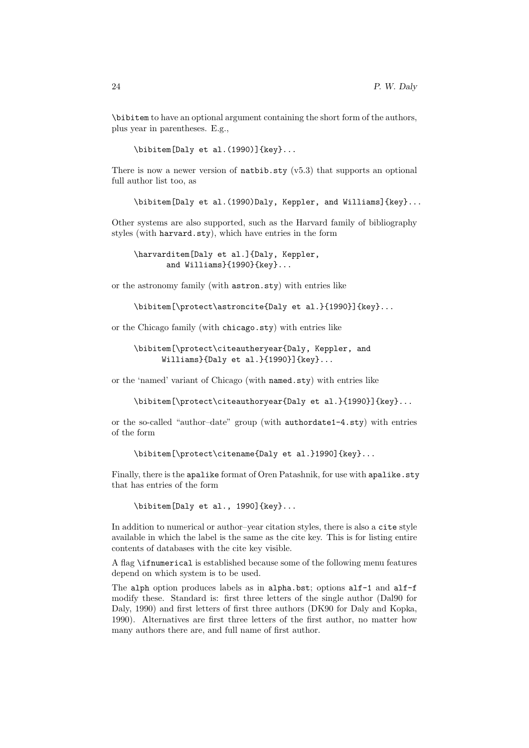\bibitem to have an optional argument containing the short form of the authors, plus year in parentheses. E.g.,

\bibitem[Daly et al.(1990)]{key}...

There is now a newer version of  $\texttt{natbib.sty}$  (v5.3) that supports an optional full author list too, as

\bibitem[Daly et al.(1990)Daly, Keppler, and Williams]{key}...

Other systems are also supported, such as the Harvard family of bibliography styles (with harvard.sty), which have entries in the form

\harvarditem[Daly et al.]{Daly, Keppler, and Williams}{1990}{key}...

or the astronomy family (with astron.sty) with entries like

\bibitem[\protect\astroncite{Daly et al.}{1990}]{key}...

or the Chicago family (with chicago.sty) with entries like

\bibitem[\protect\citeautheryear{Daly, Keppler, and Williams}{Daly et al.}{1990}]{key}...

or the 'named' variant of Chicago (with named.sty) with entries like

\bibitem[\protect\citeauthoryear{Daly et al.}{1990}]{key}...

or the so-called "author–date" group (with authordate1-4.sty) with entries of the form

\bibitem[\protect\citename{Daly et al.}1990]{key}...

Finally, there is the apalike format of Oren Patashnik, for use with apalike.sty that has entries of the form

\bibitem[Daly et al., 1990]{key}...

In addition to numerical or author–year citation styles, there is also a cite style available in which the label is the same as the cite key. This is for listing entire contents of databases with the cite key visible.

A flag \ifnumerical is established because some of the following menu features depend on which system is to be used.

The alph option produces labels as in alpha.bst; options alf-1 and alf-f modify these. Standard is: first three letters of the single author (Dal90 for Daly, 1990) and first letters of first three authors (DK90 for Daly and Kopka, 1990). Alternatives are first three letters of the first author, no matter how many authors there are, and full name of first author.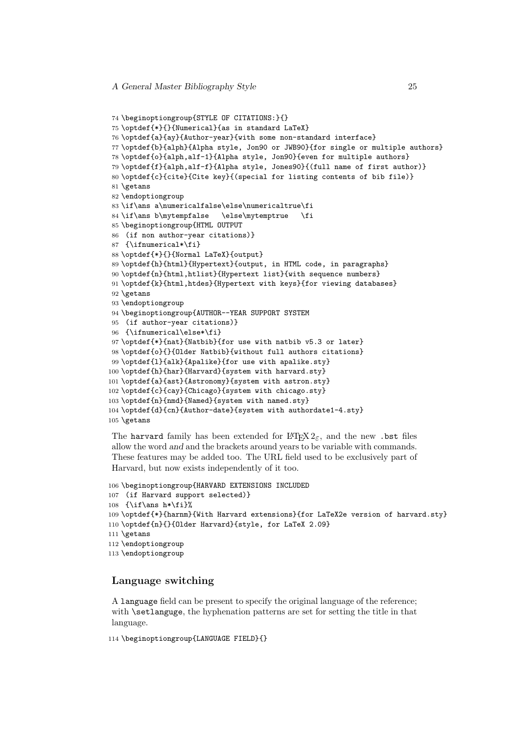```
74 \beginoptiongroup{STYLE OF CITATIONS:}{}
75 \optdef{*}{}{Numerical}{as in standard LaTeX}
76 \optdef{a}{ay}{Author-year}{with some non-standard interface}
77 \optdef{b}{alph}{Alpha style, Jon90 or JWB90}{for single or multiple authors}
78 \optdef{o}{alph,alf-1}{Alpha style, Jon90}{even for multiple authors}
79 \optdef{f}{alph,alf-f}{Alpha style, Jones90}{(full name of first author)}
80 \optdef{c}{cite}{Cite key}{(special for listing contents of bib file)}
81 \getans
82 \endoptiongroup
83 \if\ans a\numericalfalse\else\numericaltrue\fi
84 \if\ans b\mytempfalse \else\mytemptrue \fi
85 \beginoptiongroup{HTML OUTPUT
86 (if non author-year citations)}
87 {\ifnumerical*\fi}
88 \optdef{*}{}{Normal LaTeX}{output}
89 \optdef{h}{html}{Hypertext}{output, in HTML code, in paragraphs}
90 \optdef{n}{html,htlist}{Hypertext list}{with sequence numbers}
91 \optdef{k}{html,htdes}{Hypertext with keys}{for viewing databases}
92 \getans
93 \endoptiongroup
94 \beginoptiongroup{AUTHOR--YEAR SUPPORT SYSTEM
95 (if author-year citations)}
96 {\ifnumerical\else*\fi}
97 \optdef{*}{nat}{Natbib}{for use with natbib v5.3 or later}
98 \optdef{o}{}{Older Natbib}{without full authors citations}
99 \optdef{l}{alk}{Apalike}{for use with apalike.sty}
100 \optdef{h}{har}{Harvard}{system with harvard.sty}
101 \optdef{a}{ast}{Astronomy}{system with astron.sty}
102 \optdef{c}{cay}{Chicago}{system with chicago.sty}
103 \optdef{n}{nmd}{Named}{system with named.sty}
104 \optdef{d}{cn}{Author-date}{system with authordate1-4.sty}
105 \getans
```
The harvard family has been extended for  $\mathbb{F} \mathbb{F} \mathbb{F} \mathbb{F} \mathbb{F} \mathbb{F} \mathbb{F} \mathbb{F}$  and the new . but files allow the word and and the brackets around years to be variable with commands. These features may be added too. The URL field used to be exclusively part of Harvard, but now exists independently of it too.

```
106 \beginoptiongroup{HARVARD EXTENSIONS INCLUDED
107 (if Harvard support selected)}
108 \{\iota\109 \optdef{*}{harnm}{With Harvard extensions}{for LaTeX2e version of harvard.sty}
110 \optdef{n}{}{Older Harvard}{style, for LaTeX 2.09}
111 \text{eetans}112 \endoptiongroup
113 \endoptiongroup
```
### Language switching

A language field can be present to specify the original language of the reference; with **\setlanguge**, the hyphenation patterns are set for setting the title in that language.

```
114 \beginoptiongroup{LANGUAGE FIELD}{}
```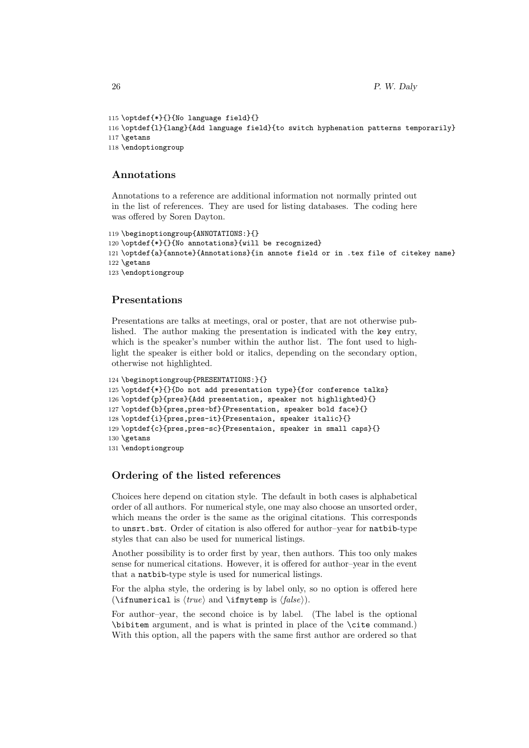```
115 \optdef{*}{}{No language field}{}
116 \optdef{l}{lang}{Add language field}{to switch hyphenation patterns temporarily}
117 \text{ectans}118 \endoptiongroup
```
### Annotations

Annotations to a reference are additional information not normally printed out in the list of references. They are used for listing databases. The coding here was offered by Soren Dayton.

```
119 \beginoptiongroup{ANNOTATIONS:}{}
120 \optdef{*}{}{No annotations}{will be recognized}
121 \optdef{a}{annote}{Annotations}{in annote field or in .tex file of citekey name}
122 \getans
123 \endoptiongroup
```
### Presentations

Presentations are talks at meetings, oral or poster, that are not otherwise published. The author making the presentation is indicated with the key entry, which is the speaker's number within the author list. The font used to highlight the speaker is either bold or italics, depending on the secondary option, otherwise not highlighted.

```
124 \beginoptiongroup{PRESENTATIONS:}{}
125 \optdef{*}{}{Do not add presentation type}{for conference talks}
126 \optdef{p}{pres}{Add presentation, speaker not highlighted}{}
127 \optdef{b}{pres,pres-bf}{Presentation, speaker bold face}{}
128 \optdef{i}{pres,pres-it}{Presentaion, speaker italic}{}
129 \optdef{c}{pres,pres-sc}{Presentaion, speaker in small caps}{}
130 \getans
131 \endoptiongroup
```
### Ordering of the listed references

Choices here depend on citation style. The default in both cases is alphabetical order of all authors. For numerical style, one may also choose an unsorted order, which means the order is the same as the original citations. This corresponds to unsrt.bst. Order of citation is also offered for author–year for natbib-type styles that can also be used for numerical listings.

Another possibility is to order first by year, then authors. This too only makes sense for numerical citations. However, it is offered for author–year in the event that a natbib-type style is used for numerical listings.

For the alpha style, the ordering is by label only, so no option is offered here (\ifnumerical is  $\langle true \rangle$  and \ifmytemp is  $\langle false \rangle$ ).

For author–year, the second choice is by label. (The label is the optional \bibitem argument, and is what is printed in place of the \cite command.) With this option, all the papers with the same first author are ordered so that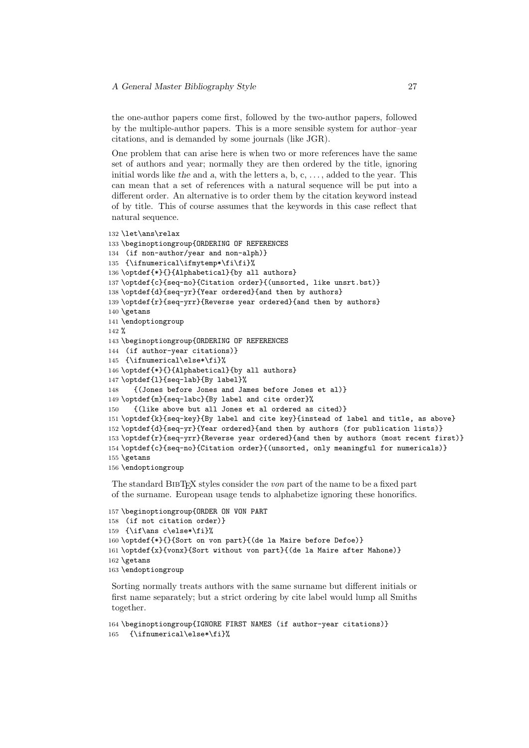the one-author papers come first, followed by the two-author papers, followed by the multiple-author papers. This is a more sensible system for author–year citations, and is demanded by some journals (like JGR).

One problem that can arise here is when two or more references have the same set of authors and year; normally they are then ordered by the title, ignoring initial words like the and  $a$ , with the letters  $a, b, c, \ldots$ , added to the year. This can mean that a set of references with a natural sequence will be put into a different order. An alternative is to order them by the citation keyword instead of by title. This of course assumes that the keywords in this case reflect that natural sequence.

```
132 \let\ans\relax
133 \beginoptiongroup{ORDERING OF REFERENCES
134 (if non-author/year and non-alph)}
135 {\ifnumerical\ifmytemp*\fi\fi}%
136 \optdef{*}{}{Alphabetical}{by all authors}
137 \optdef{c}{seq-no}{Citation order}{(unsorted, like unsrt.bst)}
138 \optdef{d}{seq-yr}{Year ordered}{and then by authors}
139 \optdef{r}{seq-yrr}{Reverse year ordered}{and then by authors}
140 \getans
141 \endoptiongroup
142 %
143 \beginoptiongroup{ORDERING OF REFERENCES
144 (if author-year citations)}
145 {\ifnumerical\else*\fi}%
146 \optdef{*}{}{Alphabetical}{by all authors}
147 \optdef{l}{seq-lab}{By label}%
148 {(Jones before Jones and James before Jones et al)}
149 \optdef{m}{seq-labc}{By label and cite order}%
150 {(like above but all Jones et al ordered as cited)}
151 \optdef{k}{seq-key}{By label and cite key}{instead of label and title, as above}
152 \optdef{d}{seq-yr}{Year ordered}{and then by authors (for publication lists)}
153 \optdef{r}{seq-yrr}{Reverse year ordered}{and then by authors (most recent first)}
154 \optdef{c}{seq-no}{Citation order}{(unsorted, only meaningful for numericals)}
155 \getans
156 \endoptiongroup
```
The standard BIBT<sub>EX</sub> styles consider the *von* part of the name to be a fixed part of the surname. European usage tends to alphabetize ignoring these honorifics.

```
157 \beginoptiongroup{ORDER ON VON PART
158 (if not citation order)}
159 {\if\ans c\else*\fi}%
160 \optdef{*}{}{Sort on von part}{(de la Maire before Defoe)}
161 \optdef{x}{vonx}{Sort without von part}{(de la Maire after Mahone)}
162 \getans
163 \endoptiongroup
```
Sorting normally treats authors with the same surname but different initials or first name separately; but a strict ordering by cite label would lump all Smiths together.

```
164 \beginoptiongroup{IGNORE FIRST NAMES (if author-year citations)}
165 {\ifnumerical\else*\fi}%
```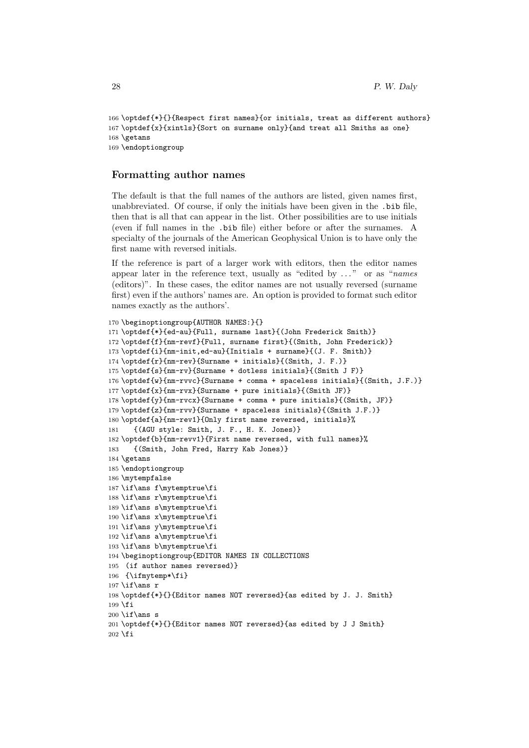```
166 \optdef{*}{}{Respect first names}{or initials, treat as different authors}
167 \optdef{x}{xintls}{Sort on surname only}{and treat all Smiths as one}
168 \getans
169 \endoptiongroup
```
#### Formatting author names

The default is that the full names of the authors are listed, given names first, unabbreviated. Of course, if only the initials have been given in the .bib file, then that is all that can appear in the list. Other possibilities are to use initials (even if full names in the .bib file) either before or after the surnames. A specialty of the journals of the American Geophysical Union is to have only the first name with reversed initials.

If the reference is part of a larger work with editors, then the editor names appear later in the reference text, usually as "edited by  $\dots$ " or as "names" (editors)". In these cases, the editor names are not usually reversed (surname first) even if the authors' names are. An option is provided to format such editor names exactly as the authors'.

```
170 \beginoptiongroup{AUTHOR NAMES:}{}
171 \optdef{*}{ed-au}{Full, surname last}{(John Frederick Smith)}
172 \optdef{f}{nm-revf}{Full, surname first}{(Smith, John Frederick)}
173 \optdef{i}{nm-init,ed-au}{Initials + surname}{(J. F. Smith)}
174 \optdef{r}{nm-rev}{Surname + initials}{(Smith, J. F.)}
175 \optdef{s}{nm-rv}{Surname + dotless initials}{(Smith J F)}
176 \optdef{w}{nm-rvvc}{Surname + comma + spaceless initials}{(Smith, J.F.)}
177 \optdef{x}{nm-rvx}{Surname + pure initials}{(Smith JF)}
178 \optdef{y}{nm-rvcx}{Surname + comma + pure initials}{(Smith, JF)}
179 \optdef{z}{nm-rvv}{Surname + spaceless initials}{(Smith J.F.)}
180 \optdef{a}{nm-rev1}{Only first name reversed, initials}%
181 {(AGU style: Smith, J. F., H. K. Jones)}
182 \optdef{b}{nm-revv1}{First name reversed, with full names}%
183 {(Smith, John Fred, Harry Kab Jones)}
184 \getans
185 \endoptiongroup
186 \mytempfalse
187 \if\ans f\mytemptrue\fi
188 \if\ans r\mytemptrue\fi
189 \if\ans s\mytemptrue\fi
190 \if\ans x\mytemptrue\fi
191 \if\ans y\mytemptrue\fi
192 \if\ans a\mytemptrue\fi
193 \if\ans b\mytemptrue\fi
194 \beginoptiongroup{EDITOR NAMES IN COLLECTIONS
195 (if author names reversed)}
196 {\ifmytemp*\fi}
197\if\ans r
198 \optdef{*}{}{Editor names NOT reversed}{as edited by J. J. Smith}
199 \fi
200 \if\ans s
201 \optdef{*}{}{Editor names NOT reversed}{as edited by J J Smith}
202 \fi
```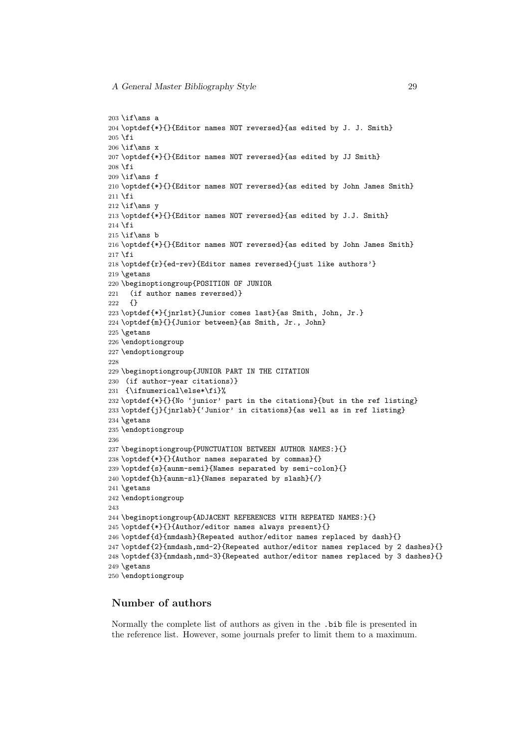```
203 \if\ans a
204 \optdef{*}{}{Editor names NOT reversed}{as edited by J. J. Smith}
205 \fi
206 \if\ans x
207 \optdef{*}{}{Editor names NOT reversed}{as edited by JJ Smith}
208 \fi
209 \if\ans f
210 \optdef{*}{}{Editor names NOT reversed}{as edited by John James Smith}
211 \fi
212 \if\ans y213 \optdef{*}{}{Editor names NOT reversed}{as edited by J.J. Smith}
214 \fi
215 \iff \mathsf{ans b}216 \optdef{*}{}{Editor names NOT reversed}{as edited by John James Smith}
217 \fi
218 \optdef{r}{ed-rev}{Editor names reversed}{just like authors'}
219 \getans
220 \beginoptiongroup{POSITION OF JUNIOR
221 (if author names reversed)}
222 {}
223 \optdef{*}{jnrlst}{Junior comes last}{as Smith, John, Jr.}
224 \optdef{m}{}{Junior between}{as Smith, Jr., John}
225 \getans
226 \endoptiongroup
227 \endoptiongroup
228
229 \beginoptiongroup{JUNIOR PART IN THE CITATION
230 (if author-year citations)}
231 {\ifnumerical\else*\fi}%
232 \optdef{*}{}{No 'junior' part in the citations}{but in the ref listing}
233 \optdef{j}{jnrlab}{'Junior' in citations}{as well as in ref listing}
234 \getans
235 \endoptiongroup
236
237 \beginoptiongroup{PUNCTUATION BETWEEN AUTHOR NAMES:}{}
238 \optdef{*}{}{Author names separated by commas}{}
239 \optdef{s}{aunm-semi}{Names separated by semi-colon}{}
240 \optdef{h}{aunm-sl}{Names separated by slash}{/}
241 \getans
242 \endoptiongroup
243
244 \beginoptiongroup{ADJACENT REFERENCES WITH REPEATED NAMES:}{}
245 \optdef{*}{}{Author/editor names always present}{}
246 \optdef{d}{nmdash}{Repeated author/editor names replaced by dash}{}
247 \optdef{2}{nmdash,nmd-2}{Repeated author/editor names replaced by 2 dashes}{}
248 \optdef{3}{nmdash,nmd-3}{Repeated author/editor names replaced by 3 dashes}{}
249 \getans
250 \endoptiongroup
```
### Number of authors

Normally the complete list of authors as given in the .bib file is presented in the reference list. However, some journals prefer to limit them to a maximum.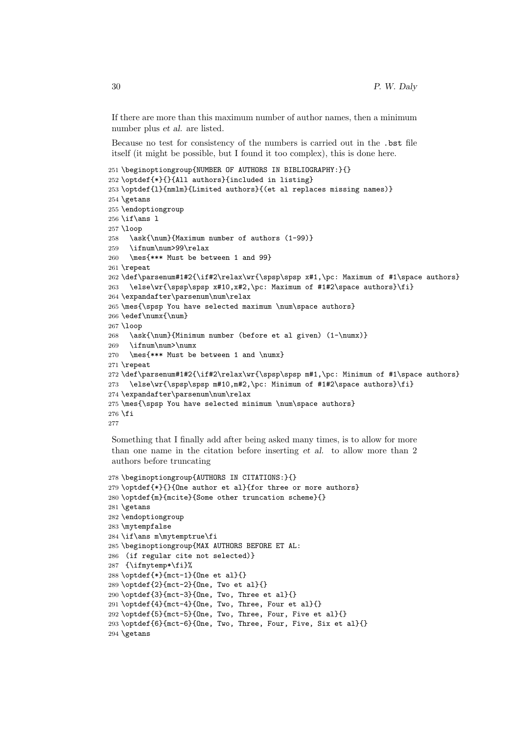If there are more than this maximum number of author names, then a minimum number plus et al. are listed.

Because no test for consistency of the numbers is carried out in the .bst file itself (it might be possible, but I found it too complex), this is done here.

```
251 \beginoptiongroup{NUMBER OF AUTHORS IN BIBLIOGRAPHY:}{}
252 \optdef{*}{}{All authors}{included in listing}
253 \optdef{l}{nmlm}{Limited authors}{(et al replaces missing names)}
254 \getans
255 \endoptiongroup
256 \if\ans l
257 \loop
258 \ask{\num}{Maximum number of authors (1-99)}
259 \ifnum\num>99\relax
260 \mes{*** Must be between 1 and 99}
261 \repeat
262 \def\parsenum#1#2{\if#2\relax\wr{\spsp\spsp x#1,\pc: Maximum of #1\space authors}
263 \else\wr{\spsp\spsp x#10,x#2,\pc: Maximum of #1#2\space authors}\fi}
264 \expandafter\parsenum\num\relax
265 \mes{\spsp You have selected maximum \num\space authors}
266 \edef\numx{\num}
267 \loop
268 \ask{\num}{Minimum number (before et al given) (1-\numx)}
269 \ifnum\num>\numx
270 \mes{*** Must be between 1 and \numx}
271 \repeat
272 \def\parsenum#1#2{\if#2\relax\wr{\spsp\spsp m#1,\pc: Minimum of #1\space authors}
273 \else\wr{\spsp\spsp m#10,m#2,\pc: Minimum of #1#2\space authors}\fi}
274 \expandafter\parsenum\num\relax
275 \mes{\spsp You have selected minimum \num\space authors}
276 \fi
277
```
Something that I finally add after being asked many times, is to allow for more than one name in the citation before inserting et al. to allow more than 2 authors before truncating

```
278 \beginoptiongroup{AUTHORS IN CITATIONS:}{}
279 \optdef{*}{}{One author et al}{for three or more authors}
280 \optdef{m}{mcite}{Some other truncation scheme}{}
281 \getans
282 \endoptiongroup
283 \mytempfalse
284 \if\ans m\mytemptrue\fi
285 \beginoptiongroup{MAX AUTHORS BEFORE ET AL:
286 (if regular cite not selected)}
287 {\ifmytemp*\fi}%
288 \optdef{*}{mct-1}{One et al}{}
289 \optdef{2}{mct-2}{One, Two et al}{}
290 \optdef{3}{mct-3}{One, Two, Three et al}{}
291 \optdef{4}{mct-4}{One, Two, Three, Four et al}{}
292 \optdef{5}{mct-5}{One, Two, Three, Four, Five et al}{}
293 \optdef{6}{mct-6}{One, Two, Three, Four, Five, Six et al}{}
294 \getans
```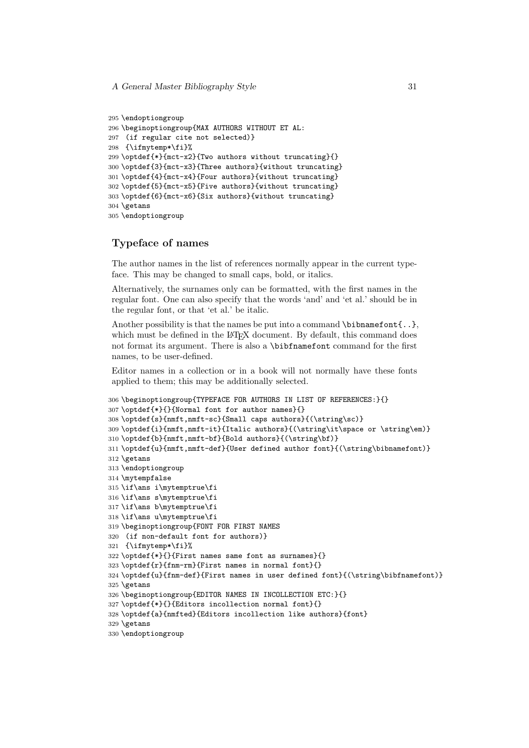```
295 \endoptiongroup
296 \beginoptiongroup{MAX AUTHORS WITHOUT ET AL:
297 (if regular cite not selected)}
298 {\ifmytemp*\fi}%
299 \optdef{*}{mct-x2}{Two authors without truncating}{}
300 \optdef{3}{mct-x3}{Three authors}{without truncating}
301 \optdef{4}{mct-x4}{Four authors}{without truncating}
302 \optdef{5}{mct-x5}{Five authors}{without truncating}
303 \optdef{6}{mct-x6}{Six authors}{without truncating}
304 \getans
305 \endoptiongroup
```
### Typeface of names

The author names in the list of references normally appear in the current typeface. This may be changed to small caps, bold, or italics.

Alternatively, the surnames only can be formatted, with the first names in the regular font. One can also specify that the words 'and' and 'et al.' should be in the regular font, or that 'et al.' be italic.

Another possibility is that the names be put into a command  $\binom{\alpha}{\alpha}$ , which must be defined in the LAT<sub>EX</sub> document. By default, this command does not format its argument. There is also a \bibfnamefont command for the first names, to be user-defined.

Editor names in a collection or in a book will not normally have these fonts applied to them; this may be additionally selected.

```
306 \beginoptiongroup{TYPEFACE FOR AUTHORS IN LIST OF REFERENCES:}{}
307 \optdef{*}{}{Normal font for author names}{}
308 \optdef{s}{nmft,nmft-sc}{Small caps authors}{(\string\sc)}
309 \optdef{i}{nmft,nmft-it}{Italic authors}{(\string\it\space or \string\em)}
310 \optdef{b}{nmft,nmft-bf}{Bold authors}{(\string\bf)}
311 \optdef{u}{nmft,nmft-def}{User defined author font}{(\string\bibnamefont)}
312 \getans
313 \endoptiongroup
314 \mytempfalse
315 \if\ans i\mytemptrue\fi
316 \if\ans s\mytemptrue\fi
317 \if\ans b\mytemptrue\fi
318 \if\ans u\mytemptrue\fi
319 \beginoptiongroup{FONT FOR FIRST NAMES
320 (if non-default font for authors)}
321 {\ifmytemp*\fi}%
322 \optdef{*}{}{First names same font as surnames}{}
323 \optdef{r}{fnm-rm}{First names in normal font}{}
324 \optdef{u}{fnm-def}{First names in user defined font}{(\string\bibfnamefont)}
325 \getans
326 \beginoptiongroup{EDITOR NAMES IN INCOLLECTION ETC:}{}
327 \optdef{*}{}{Editors incollection normal font}{}
328 \optdef{a}{nmfted}{Editors incollection like authors}{font}
329 \getans
330 \endoptiongroup
```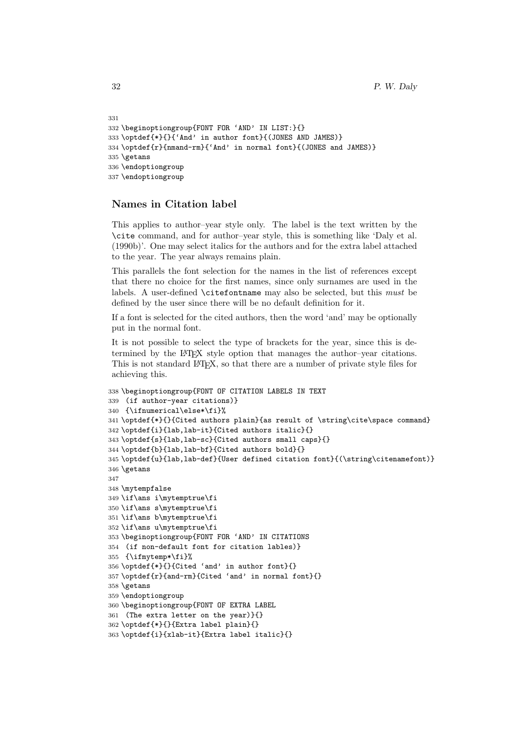```
331
332 \beginoptiongroup{FONT FOR 'AND' IN LIST:}{}
333 \optdef{*}{}{'And' in author font}{(JONES AND JAMES)}
334 \optdef{r}{nmand-rm}{'And' in normal font}{(JONES and JAMES)}
335 \getans
336 \endoptiongroup
337 \endoptiongroup
```
### Names in Citation label

This applies to author–year style only. The label is the text written by the \cite command, and for author–year style, this is something like 'Daly et al. (1990b)'. One may select italics for the authors and for the extra label attached to the year. The year always remains plain.

This parallels the font selection for the names in the list of references except that there no choice for the first names, since only surnames are used in the labels. A user-defined \citefontname may also be selected, but this must be defined by the user since there will be no default definition for it.

If a font is selected for the cited authors, then the word 'and' may be optionally put in the normal font.

It is not possible to select the type of brackets for the year, since this is determined by the LATEX style option that manages the author–year citations. This is not standard LAT<sub>E</sub>X, so that there are a number of private style files for achieving this.

```
338 \beginoptiongroup{FONT OF CITATION LABELS IN TEXT
339 (if author-year citations)}
340 {\ifnumerical\else*\fi}%
341 \optdef{*}{}{Cited authors plain}{as result of \string\cite\space command}
342 \optdef{i}{lab,lab-it}{Cited authors italic}{}
343 \optdef{s}{lab,lab-sc}{Cited authors small caps}{}
344 \optdef{b}{lab,lab-bf}{Cited authors bold}{}
345 \optdef{u}{lab,lab-def}{User defined citation font}{(\string\citenamefont)}
346 \getans
347
348 \mytempfalse
349 \if\ans i\mytemptrue\fi
350 \if\ans s\mytemptrue\fi
351 \if\ans b\mytemptrue\fi
352 \if\ans u\mytemptrue\fi
353 \beginoptiongroup{FONT FOR 'AND' IN CITATIONS
354 (if non-default font for citation lables)}
355 {\ifmytemp*\fi}%
356 \optdef{*}{}{Cited 'and' in author font}{}
357 \optdef{r}{and-rm}{Cited 'and' in normal font}{}
358 \getans
359 \endoptiongroup
360 \beginoptiongroup{FONT OF EXTRA LABEL
361 (The extra letter on the year)}{}
362 \optdef{*}{}{Extra label plain}{}
363 \optdef{i}{xlab-it}{Extra label italic}{}
```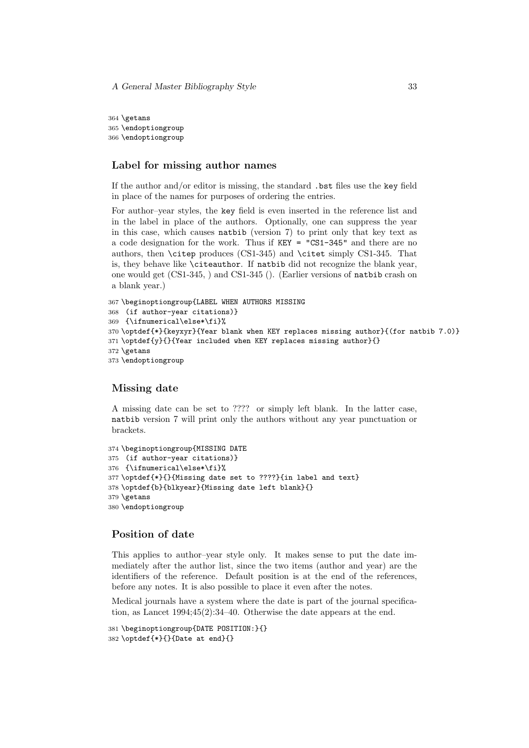364 \getans 365 \endoptiongroup 366 \endoptiongroup

#### Label for missing author names

If the author and/or editor is missing, the standard .bst files use the key field in place of the names for purposes of ordering the entries.

For author–year styles, the key field is even inserted in the reference list and in the label in place of the authors. Optionally, one can suppress the year in this case, which causes natbib (version 7) to print only that key text as a code designation for the work. Thus if KEY = "CS1-345" and there are no authors, then \citep produces (CS1-345) and \citet simply CS1-345. That is, they behave like \citeauthor. If natbib did not recognize the blank year, one would get (CS1-345, ) and CS1-345 (). (Earlier versions of natbib crash on a blank year.)

```
367 \beginoptiongroup{LABEL WHEN AUTHORS MISSING
368 (if author-year citations)}
369 {\ifnumerical\else*\fi}%
370 \optdef{*}{keyxyr}{Year blank when KEY replaces missing author}{(for natbib 7.0)}
371 \optdef{y}{}{Year included when KEY replaces missing author}{}
372 \getans
373 \endoptiongroup
```
#### Missing date

A missing date can be set to ???? or simply left blank. In the latter case, natbib version 7 will print only the authors without any year punctuation or brackets.

```
374 \beginoptiongroup{MISSING DATE
375 (if author-year citations)}
376 {\ifnumerical\else*\fi}%
377 \optdef{*}{}{Missing date set to ????}{in label and text}
378 \optdef{b}{blkyear}{Missing date left blank}{}
379 \getans
380 \endoptiongroup
```
### Position of date

This applies to author–year style only. It makes sense to put the date immediately after the author list, since the two items (author and year) are the identifiers of the reference. Default position is at the end of the references, before any notes. It is also possible to place it even after the notes.

Medical journals have a system where the date is part of the journal specification, as Lancet 1994;45(2):34–40. Otherwise the date appears at the end.

```
381 \beginoptiongroup{DATE POSITION:}{}
382 \optdef{*}{}{Date at end}{}
```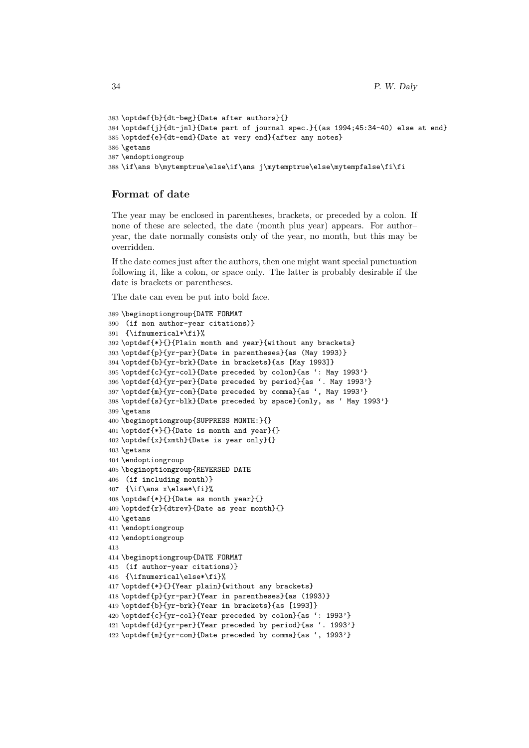```
383 \optdef{b}{dt-beg}{Date after authors}{}
384 \optdef{j}{dt-jnl}{Date part of journal spec.}{(as 1994;45:34-40) else at end}
385 \optdef{e}{dt-end}{Date at very end}{after any notes}
386 \getans
387 \endoptiongroup
388 \if\ans b\mytemptrue\else\if\ans j\mytemptrue\else\mytempfalse\fi\fi
```
### Format of date

The year may be enclosed in parentheses, brackets, or preceded by a colon. If none of these are selected, the date (month plus year) appears. For author– year, the date normally consists only of the year, no month, but this may be overridden.

If the date comes just after the authors, then one might want special punctuation following it, like a colon, or space only. The latter is probably desirable if the date is brackets or parentheses.

The date can even be put into bold face.

```
389 \beginoptiongroup{DATE FORMAT
390 (if non author-year citations)}
391 {\ifnumerical*\fi}%
392 \optdef{*}{}{Plain month and year}{without any brackets}
393 \optdef{p}{yr-par}{Date in parentheses}{as (May 1993)}
394 \optdef{b}{yr-brk}{Date in brackets}{as [May 1993]}
395 \optdef{c}{yr-col}{Date preceded by colon}{as ': May 1993'}
396 \optdef{d}{yr-per}{Date preceded by period}{as '. May 1993'}
397 \optdef{m}{yr-com}{Date preceded by comma}{as ', May 1993'}
398 \optdef{s}{yr-blk}{Date preceded by space}{only, as ' May 1993'}
399 \getans
400 \beginoptiongroup{SUPPRESS MONTH:}{}
401 \optdef{*}{}{Date is month and year}{}
402 \optdef{x}{xmth}{Date is year only}{}
403 \getans
404 \endoptiongroup
405 \beginoptiongroup{REVERSED DATE
406 (if including month)}
407 {\if\ans x\else*\fi}%
408 \optdef{*}{}{Date as month year}{}
409 \optdef{r}{dtrev}{Date as year month}{}
410 \getans
411 \endoptiongroup
412 \endoptiongroup
413
414 \beginoptiongroup{DATE FORMAT
415 (if author-year citations)}
416 {\ifnumerical\else*\fi}%
417 \optdef{*}{}{Year plain}{without any brackets}
418 \optdef{p}{yr-par}{Year in parentheses}{as (1993)}
419 \optdef{b}{yr-brk}{Year in brackets}{as [1993]}
420 \optdef{c}{yr-col}{Year preceded by colon}{as ': 1993'}
421 \optdef{d}{yr-per}{Year preceded by period}{as '. 1993'}
422 \optdef{m}{yr-com}{Date preceded by comma}{as ', 1993'}
```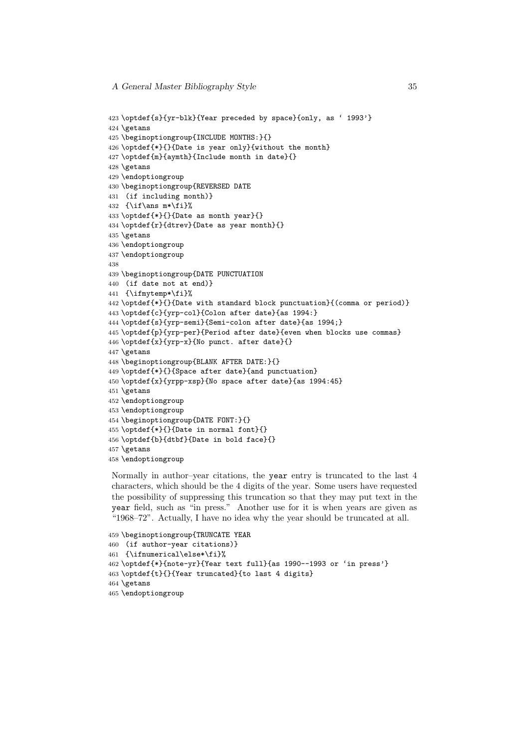```
423 \optdef{s}{yr-blk}{Year preceded by space}{only, as ' 1993'}
424 \getans
425 \beginoptiongroup{INCLUDE MONTHS:}{}
426 \optdef{*}{}{Date is year only}{without the month}
427 \optdef{m}{aymth}{Include month in date}{}
428 \getans
429 \endoptiongroup
430 \beginoptiongroup{REVERSED DATE
431 (if including month)}
432 \{\if\ans\nm*\f\n\}433 \optdef{*}{}{Date as month year}{}
434 \optdef{r}{dtrev}{Date as year month}{}
435 \getans
436 \endoptiongroup
437 \endoptiongroup
438
439 \beginoptiongroup{DATE PUNCTUATION
440 (if date not at end)}
441 {\ifmytemp*\fi}%
442 \optdef{*}{}{Date with standard block punctuation}{(comma or period)}
443 \optdef{c}{yrp-col}{Colon after date}{as 1994:}
444 \optdef{s}{yrp-semi}{Semi-colon after date}{as 1994;}
445 \optdef{p}{yrp-per}{Period after date}{even when blocks use commas}
446 \optdef{x}{yrp-x}{No punct. after date}{}
447 \getans
448 \beginoptiongroup{BLANK AFTER DATE:}{}
449 \optdef{*}{}{Space after date}{and punctuation}
450 \optdef{x}{yrpp-xsp}{No space after date}{as 1994:45}
451 \getans
452 \endoptiongroup
453 \endoptiongroup
454 \beginoptiongroup{DATE FONT:}{}
455 \optdef{*}{}{Date in normal font}{}
456 \optdef{b}{dtbf}{Date in bold face}{}
457 \getans
458 \endoptiongroup
```
Normally in author–year citations, the year entry is truncated to the last 4 characters, which should be the 4 digits of the year. Some users have requested the possibility of suppressing this truncation so that they may put text in the year field, such as "in press." Another use for it is when years are given as "1968–72". Actually, I have no idea why the year should be truncated at all.

```
459 \beginoptiongroup{TRUNCATE YEAR
460 (if author-year citations)}
461 {\ifnumerical\else*\fi}%
462 \optdef{*}{note-yr}{Year text full}{as 1990--1993 or 'in press'}
463 \optdef{t}{}{Year truncated}{to last 4 digits}
464 \getans
465 \endoptiongroup
```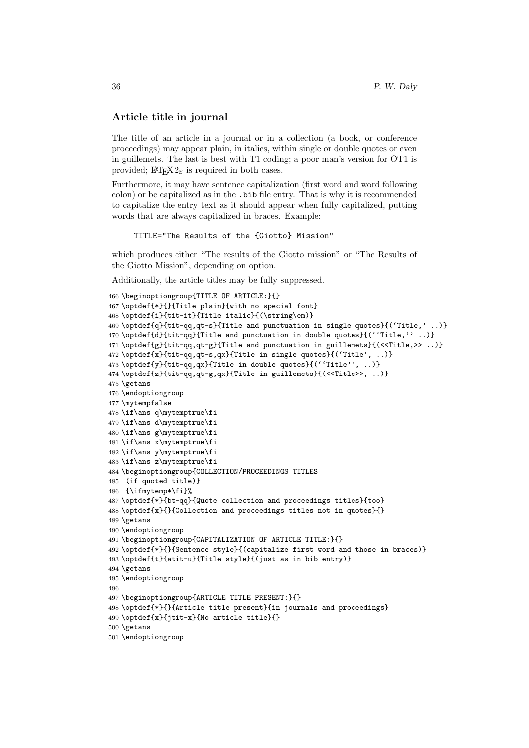### Article title in journal

The title of an article in a journal or in a collection (a book, or conference proceedings) may appear plain, in italics, within single or double quotes or even in guillemets. The last is best with T1 coding; a poor man's version for OT1 is provided;  $\text{LATEX } 2_{\varepsilon}$  is required in both cases.

Furthermore, it may have sentence capitalization (first word and word following colon) or be capitalized as in the .bib file entry. That is why it is recommended to capitalize the entry text as it should appear when fully capitalized, putting words that are always capitalized in braces. Example:

TITLE="The Results of the {Giotto} Mission"

which produces either "The results of the Giotto mission" or "The Results of the Giotto Mission", depending on option.

Additionally, the article titles may be fully suppressed.

```
466 \beginoptiongroup{TITLE OF ARTICLE:}{}
467 \optdef{*}{}{Title plain}{with no special font}
468 \optdef{i}{tit-it}{Title italic}{(\string\em)}
469 \optdef{q}{tit-qq,qt-s}{Title and punctuation in single quotes}{('Title,' ..)}
470 \optdef{d}{tit-qq}{Title and punctuation in double quotes}{(''Title,'' ..)}
471 \optdef{g}{tit-qq,qt-g}{Title and punctuation in guillemets}{(<<Title,>> ..)}
472 \optdef{x}{tit-qq,qt-s,qx}{Title in single quotes}{('Title', ..)}
473 \optdef{y}{tit-qq,qx}{Title in double quotes}{(''Title'', ..)}
474 \optdef{z}{tit-qq,qt-g,qx}{Title in guillemets}{(<<Title>>, ..)}
475 \getans
476 \endoptiongroup
477 \mytempfalse
478 \if\ans q\mytemptrue\fi
479 \if\ans d\mytemptrue\fi
480 \if\ans g\mytemptrue\fi
481 \if\ans x\mytemptrue\fi
482 \if\ans y\mytemptrue\fi
483 \if\ans z\mytemptrue\fi
484 \beginoptiongroup{COLLECTION/PROCEEDINGS TITLES
485 (if quoted title)}
486 {\ifmytemp*\fi}%
487 \optdef{*}{bt-qq}{Quote collection and proceedings titles}{too}
488 \optdef{x}{}{Collection and proceedings titles not in quotes}{}
489 \getans
490 \endoptiongroup
491 \beginoptiongroup{CAPITALIZATION OF ARTICLE TITLE:}{}
492 \optdef{*}{}{Sentence style}{(capitalize first word and those in braces)}
493 \optdef{t}{atit-u}{Title style}{(just as in bib entry)}
494 \getans
495 \endoptiongroup
496
497 \beginoptiongroup{ARTICLE TITLE PRESENT:}{}
498 \optdef{*}{}{Article title present}{in journals and proceedings}
499 \optdef{x}{jtit-x}{No article title}{}
500 \getans
501 \endoptiongroup
```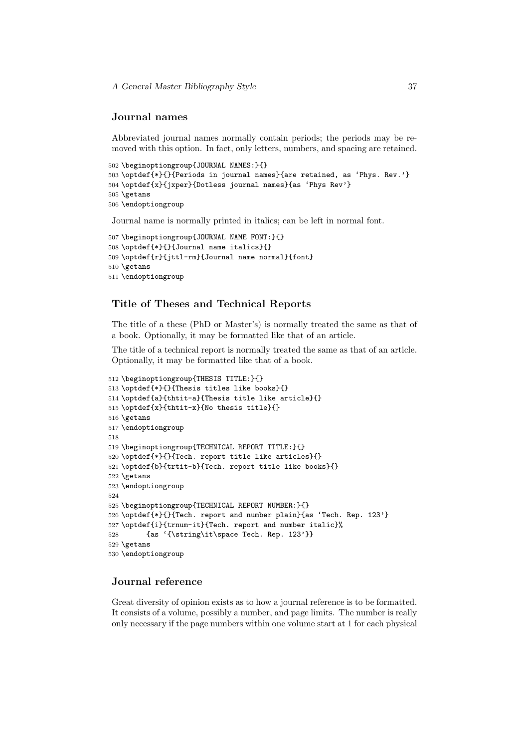#### Journal names

Abbreviated journal names normally contain periods; the periods may be removed with this option. In fact, only letters, numbers, and spacing are retained.

```
502 \beginoptiongroup{JOURNAL NAMES:}{}
503 \optdef{*}{}{Periods in journal names}{are retained, as 'Phys. Rev.'}
504 \optdef{x}{jxper}{Dotless journal names}{as 'Phys Rev'}
505 \getans
506 \endoptiongroup
```
Journal name is normally printed in italics; can be left in normal font.

```
507 \beginoptiongroup{JOURNAL NAME FONT:}{}
508 \optdef{*}{}{Journal name italics}{}
509 \optdef{r}{jttl-rm}{Journal name normal}{font}
510 \getans
511 \endoptiongroup
```
#### Title of Theses and Technical Reports

The title of a these (PhD or Master's) is normally treated the same as that of a book. Optionally, it may be formatted like that of an article.

The title of a technical report is normally treated the same as that of an article. Optionally, it may be formatted like that of a book.

```
512 \beginoptiongroup{THESIS TITLE:}{}
513 \optdef{*}{}{Thesis titles like books}{}
514 \optdef{a}{thtit-a}{Thesis title like article}{}
515 \optdef{x}{thtit-x}{No thesis title}{}
516 \getans
517 \endoptiongroup
518
519 \beginoptiongroup{TECHNICAL REPORT TITLE:}{}
520 \optdef{*}{}{Tech. report title like articles}{}
521 \optdef{b}{trtit-b}{Tech. report title like books}{}
522 \getans
523 \endoptiongroup
524
525 \beginoptiongroup{TECHNICAL REPORT NUMBER:}{}
526 \optdef{*}{}{Tech. report and number plain}{as 'Tech. Rep. 123'}
527 \optdef{i}{trnum-it}{Tech. report and number italic}%
528 {as '{\string\it\space Tech. Rep. 123'}}
529 \getans
530 \endoptiongroup
```
### Journal reference

Great diversity of opinion exists as to how a journal reference is to be formatted. It consists of a volume, possibly a number, and page limits. The number is really only necessary if the page numbers within one volume start at 1 for each physical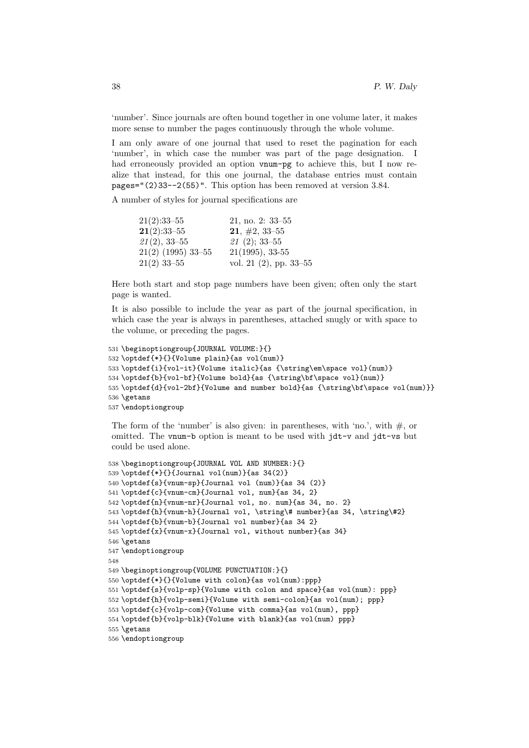'number'. Since journals are often bound together in one volume later, it makes more sense to number the pages continuously through the whole volume.

I am only aware of one journal that used to reset the pagination for each 'number', in which case the number was part of the page designation. I had erroneously provided an option vnum-pg to achieve this, but I now realize that instead, for this one journal, the database entries must contain pages="(2)33--2(55)". This option has been removed at version 3.84.

A number of styles for journal specifications are

| $21(2):33-55$        | $21, \text{no. } 2: 33 - 55$ |
|----------------------|------------------------------|
| $21(2):33-55$        | $21, \#2, 33-55$             |
| $21(2), 33-55$       | $21(2); 33-55$               |
| $21(2)$ (1995) 33-55 | $21(1995), 33-55$            |
| $21(2)$ 33-55        | vol. 21 $(2)$ , pp. 33–55    |

Here both start and stop page numbers have been given; often only the start page is wanted.

It is also possible to include the year as part of the journal specification, in which case the year is always in parentheses, attached snugly or with space to the volume, or preceding the pages.

```
531 \beginoptiongroup{JOURNAL VOLUME:}{}
532 \optdef{*}{}{Volume plain}{as vol(num)}
533 \optdef{i}{vol-it}{Volume italic}{as {\string\em\space vol}(num)}
534 \optdef{b}{vol-bf}{Volume bold}{as {\string\bf\space vol}(num)}
535 \optdef{d}{vol-2bf}{Volume and number bold}{as {\string\bf\space vol(num)}}
536 \getans
537 \endoptiongroup
```
The form of the 'number' is also given: in parentheses, with 'no.', with  $\#$ , or omitted. The vnum-b option is meant to be used with jdt-v and jdt-vs but could be used alone.

```
538 \beginoptiongroup{JOURNAL VOL AND NUMBER:}{}
539 \optdef\{\ast\}{}{Journal vol(num)}{as 34(2)}
540 \optdef{s}{vnum-sp}{Journal vol (num)}{as 34 (2)}
541 \optdef{c}{vnum-cm}{Journal vol, num}{as 34, 2}
542 \optdef{n}{vnum-nr}{Journal vol, no. num}{as 34, no. 2}
543\optdef{h}{vnum-h}{Journal vol, \string\# number}{as 34, \string\#2}
544 \optdef{b}{vnum-b}{Journal vol number}{as 34 2}
545 \optdef{x}{vnum-x}{Journal vol, without number}{as 34}
546 \getans
547 \endoptiongroup
548
549 \beginoptiongroup{VOLUME PUNCTUATION:}{}
550 \optdef{*}{}{Volume with colon}{as vol(num):ppp}
551 \optdef{s}{volp-sp}{Volume with colon and space}{as vol(num): ppp}
552 \optdef{h}{volp-semi}{Volume with semi-colon}{as vol(num); ppp}
553 \optdef{c}{volp-com}{Volume with comma}{as vol(num), ppp}
554 \optdef{b}{volp-blk}{Volume with blank}{as vol(num) ppp}
555 \getans
556 \endoptiongroup
```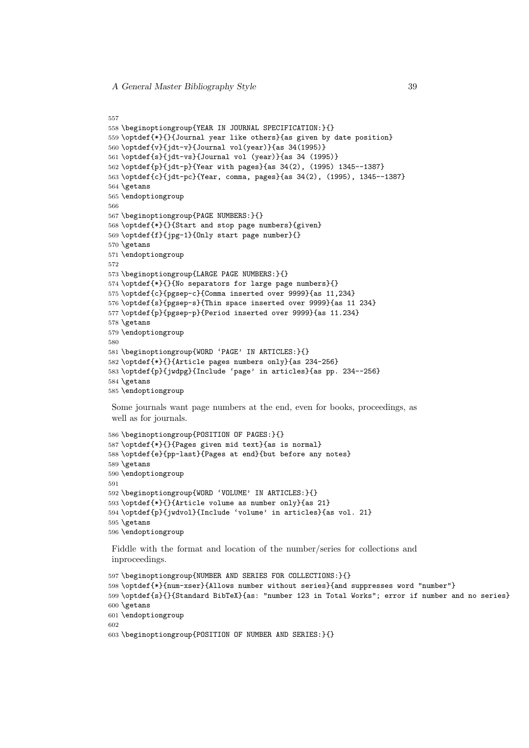```
557
558 \beginoptiongroup{YEAR IN JOURNAL SPECIFICATION:}{}
559 \optdef{*}{}{Journal year like others}{as given by date position}
560 \optdef{v}{jdt-v}{Journal vol(year)}{as 34(1995)}
561 \optdef{s}{jdt-vs}{Journal vol (year)}{as 34 (1995)}
562 \optdef{p}{jdt-p}{Year with pages}{as 34(2), (1995) 1345--1387}
563 \optdef{c}{jdt-pc}{Year, comma, pages}{as 34(2), (1995), 1345--1387}
564 \getans
565 \endoptiongroup
566
567 \beginoptiongroup{PAGE NUMBERS:}{}
568 \optdef{*}{}{Start and stop page numbers}{given}
569 \optdef{f}{jpg-1}{Only start page number}{}
570 \getans
571 \endoptiongroup
572
573 \beginoptiongroup{LARGE PAGE NUMBERS:}{}
574 \optdef{*}{}{No separators for large page numbers}{}
575 \optdef{c}{pgsep-c}{Comma inserted over 9999}{as 11,234}
576 \optdef{s}{pgsep-s}{Thin space inserted over 9999}{as 11 234}
577 \optdef{p}{pgsep-p}{Period inserted over 9999}{as 11.234}
578 \getans
579 \endoptiongroup
580
581 \beginoptiongroup{WORD 'PAGE' IN ARTICLES:}{}
582 \optdef{*}{}{Article pages numbers only}{as 234-256}
583 \optdef{p}{jwdpg}{Include 'page' in articles}{as pp. 234--256}
584 \getans
585 \endoptiongroup
```
Some journals want page numbers at the end, even for books, proceedings, as well as for journals.

```
586 \beginoptiongroup{POSITION OF PAGES:}{}
587 \optdef{*}{}{Pages given mid text}{as is normal}
588 \optdef{e}{pp-last}{Pages at end}{but before any notes}
589 \getans
590 \endoptiongroup
591
592 \beginoptiongroup{WORD 'VOLUME' IN ARTICLES:}{}
593 \optdef{*}{}{Article volume as number only}{as 21}
594 \optdef{p}{jwdvol}{Include 'volume' in articles}{as vol. 21}
595 \getans
596 \endoptiongroup
```
Fiddle with the format and location of the number/series for collections and inproceedings.

```
597 \beginoptiongroup{NUMBER AND SERIES FOR COLLECTIONS:}{}
598 \optdef{*}{num-xser}{Allows number without series}{and suppresses word "number"}
599 \optdef{s}{}{Standard BibTeX}{as: "number 123 in Total Works"; error if number and no series}
600 \getans
601 \endoptiongroup
602
603 \beginoptiongroup{POSITION OF NUMBER AND SERIES:}{}
```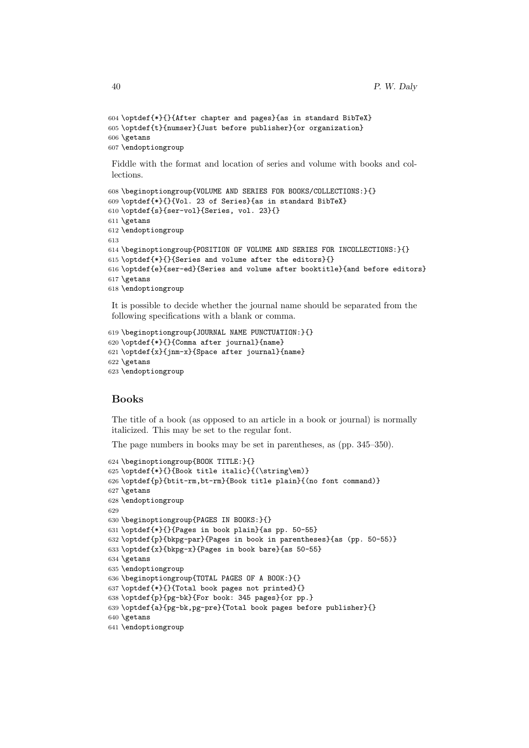```
604 \optdef{*}{}{After chapter and pages}{as in standard BibTeX}
605 \optdef{t}{numser}{Just before publisher}{or organization}
606 \getans
607 \endoptiongroup
```
Fiddle with the format and location of series and volume with books and collections.

```
608 \beginoptiongroup{VOLUME AND SERIES FOR BOOKS/COLLECTIONS:}{}
609 \optdef{*}{}{Vol. 23 of Series}{as in standard BibTeX}
610 \optdef{s}{ser-vol}{Series, vol. 23}{}
611 \getans
612 \endoptiongroup
613
614 \beginoptiongroup{POSITION OF VOLUME AND SERIES FOR INCOLLECTIONS:}{}
615 \optdef{*}{}{Series and volume after the editors}{}
616 \optdef{e}{ser-ed}{Series and volume after booktitle}{and before editors}
617 \getans
618 \endoptiongroup
```
It is possible to decide whether the journal name should be separated from the following specifications with a blank or comma.

```
619 \beginoptiongroup{JOURNAL NAME PUNCTUATION:}{}
620 \optdef{*}{}{Comma after journal}{name}
621 \optdef{x}{jnm-x}{Space after journal}{name}
622 \getans
623 \endoptiongroup
```
### Books

The title of a book (as opposed to an article in a book or journal) is normally italicized. This may be set to the regular font.

The page numbers in books may be set in parentheses, as (pp. 345–350).

```
624 \beginoptiongroup{BOOK TITLE:}{}
625 \optdef{*}{}{Book title italic}{(\string\em)}
626 \optdef{p}{btit-rm,bt-rm}{Book title plain}{(no font command)}
627 \getans
628 \endoptiongroup
629
630 \beginoptiongroup{PAGES IN BOOKS:}{}
631 \optdef{*}{}{Pages in book plain}{as pp. 50-55}
632 \optdef{p}{bkpg-par}{Pages in book in parentheses}{as (pp. 50-55)}
633 \optdef{x}{bkpg-x}{Pages in book bare}{as 50-55}
634 \getans
635 \endoptiongroup
636 \beginoptiongroup{TOTAL PAGES OF A BOOK:}{}
637 \optdef{*}{}{Total book pages not printed}{}
638 \optdef{p}{pg-bk}{For book: 345 pages}{or pp.}
639 \optdef{a}{pg-bk,pg-pre}{Total book pages before publisher}{}
640 \getans
641 \endoptiongroup
```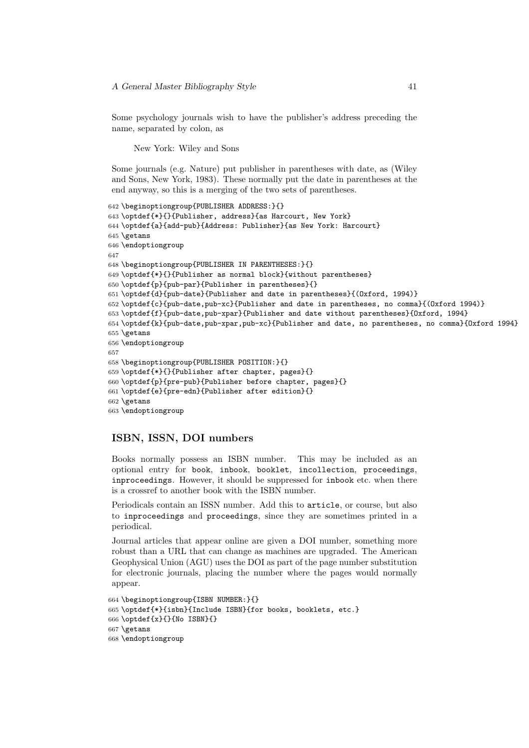Some psychology journals wish to have the publisher's address preceding the name, separated by colon, as

New York: Wiley and Sons

Some journals (e.g. Nature) put publisher in parentheses with date, as (Wiley and Sons, New York, 1983). These normally put the date in parentheses at the end anyway, so this is a merging of the two sets of parentheses.

```
642 \beginoptiongroup{PUBLISHER ADDRESS:}{}
643 \optdef{*}{}{Publisher, address}{as Harcourt, New York}
644 \optdef{a}{add-pub}{Address: Publisher}{as New York: Harcourt}
645 \getans
646 \endoptiongroup
647
648 \beginoptiongroup{PUBLISHER IN PARENTHESES:}{}
649 \optdef{*}{}{Publisher as normal block}{without parentheses}
650 \optdef{p}{pub-par}{Publisher in parentheses}{}
651 \optdef{d}{pub-date}{Publisher and date in parentheses}{(Oxford, 1994)}
652 \optdef{c}{pub-date,pub-xc}{Publisher and date in parentheses, no comma}{(Oxford 1994)}
653 \optdef{f}{pub-date,pub-xpar}{Publisher and date without parentheses}{Oxford, 1994}
654 \optdef{k}{pub-date,pub-xpar,pub-xc}{Publisher and date, no parentheses, no comma}{Oxford 1994}
655 \getans
656 \endoptiongroup
657
658 \beginoptiongroup{PUBLISHER POSITION:}{}
659 \optdef{*}{}{Publisher after chapter, pages}{}
660 \optdef{p}{pre-pub}{Publisher before chapter, pages}{}
661 \optdef{e}{pre-edn}{Publisher after edition}{}
662 \getans
663 \endoptiongroup
```
### ISBN, ISSN, DOI numbers

Books normally possess an ISBN number. This may be included as an optional entry for book, inbook, booklet, incollection, proceedings, inproceedings. However, it should be suppressed for inbook etc. when there is a crossref to another book with the ISBN number.

Periodicals contain an ISSN number. Add this to article, or course, but also to inproceedings and proceedings, since they are sometimes printed in a periodical.

Journal articles that appear online are given a DOI number, something more robust than a URL that can change as machines are upgraded. The American Geophysical Union (AGU) uses the DOI as part of the page number substitution for electronic journals, placing the number where the pages would normally appear.

```
664 \beginoptiongroup{ISBN NUMBER:}{}
665 \optdef{*}{isbn}{Include ISBN}{for books, booklets, etc.}
666 \optdef{x}{}{No ISBN}{}
667 \getans
668 \endoptiongroup
```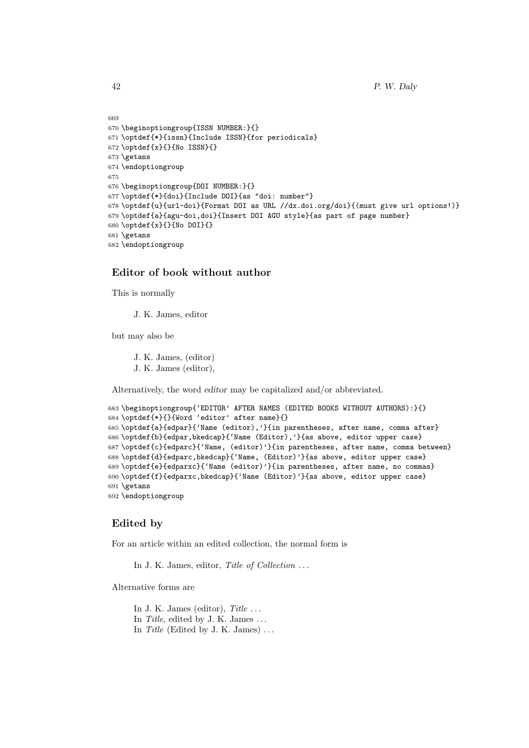```
669
670 \beginoptiongroup{ISSN NUMBER:}{}
671 \optdef{*}{issn}{Include ISSN}{for periodicals}
672 \optdef{x}{}{No ISSN}{}
673 \getans
674 \endoptiongroup
675
676 \beginoptiongroup{DOI NUMBER:}{}
677 \optdef{*}{doi}{Include DOI}{as "doi: number"}
678 \optdef{u}{url-doi}{Format DOI as URL //dx.doi.org/doi}{(must give url options!)}
679 \optdef{a}{agu-doi,doi}{Insert DOI AGU style}{as part of page number}
680 \optdef{x}{}{No DOI}{}
681 \getans
682 \endoptiongroup
```
### Editor of book without author

This is normally

J. K. James, editor

but may also be

J. K. James, (editor) J. K. James (editor),

Alternatively, the word editor may be capitalized and/or abbreviated.

```
683 \beginoptiongroup{'EDITOR' AFTER NAMES (EDITED BOOKS WITHOUT AUTHORS):}{}
684 \optdef{*}{}{Word 'editor' after name}{}
685 \optdef{a}{edpar}{'Name (editor),'}{in parentheses, after name, comma after}
686 \optdef{b}{edpar,bkedcap}{'Name (Editor),'}{as above, editor upper case}
687 \optdef{c}{edparc}{'Name, (editor)'}{in parentheses, after name, comma between}
688 \optdef{d}{edparc,bkedcap}{'Name, (Editor)'}{as above, editor upper case}
689 \optdef{e}{edparxc}{'Name (editor)'}{in parentheses, after name, no commas}
690 \optdef{f}{edparxc,bkedcap}{'Name (Editor)'}{as above, editor upper case}
691 \getans
692 \endoptiongroup
```
### Edited by

For an article within an edited collection, the normal form is

In J. K. James, editor, Title of Collection ...

Alternative forms are

In J. K. James (editor),  $Title \dots$ In Title, edited by J. K. James  $\dots$ In Title (Edited by J. K. James)  $\dots$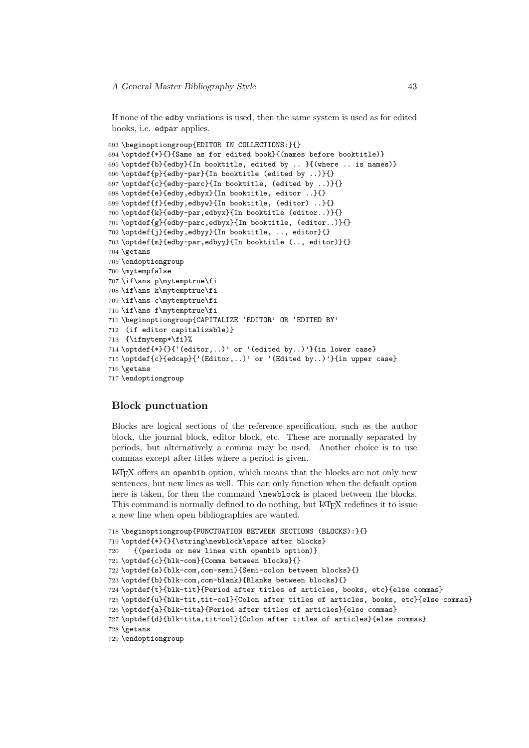If none of the edby variations is used, then the same system is used as for edited books, i.e. edpar applies.

```
693 \beginoptiongroup{EDITOR IN COLLECTIONS:}{}
694 \optdef{*}{}{Same as for edited book}{(names before booktitle)}
695 \optdef{b}{edby}{In booktitle, edited by .. }{(where .. is names)}
696 \optdef{p}{edby-par}{In booktitle (edited by ..)}{}
697 \optdef{c}{edby-parc}{In booktitle, (edited by ..)}{}
698 \optdef{e}{edby,edbyx}{In booktitle, editor ..}{}
699 \optdef{f}{edby,edbyw}{In booktitle, (editor) ..}{}
700 \optdef{k}{edby-par,edbyx}{In booktitle (editor..)}{}
701 \optdef{g}{edby-parc,edbyx}{In booktitle, (editor..)}{}
702 \optdef{j}{edby,edbyy}{In booktitle, .., editor}{}
703 \optdef{m}{edby-par,edbyy}{In booktitle (.., editor)}{}
704 \getans
705 \endoptiongroup
706 \mytempfalse
707 \if\ans p\mytemptrue\fi
708 \if\ans k\mytemptrue\fi
709 \if\ans c\mytemptrue\fi
710 \if\ans f\mytemptrue\fi
711 \beginoptiongroup{CAPITALIZE 'EDITOR' OR 'EDITED BY'
712 (if editor capitalizable)}
713 {\ifmytemp*\fi}%
714 \optdef{*}{}{'(editor,..)' or '(edited by..)'}{in lower case}
715 \optdef{c}{edcap}{'(Editor,..)' or '(Edited by..)'}{in upper case}
716 \getans
717 \endoptiongroup
```
#### Block punctuation

Blocks are logical sections of the reference specification, such as the author block, the journal block, editor block, etc. These are normally separated by periods, but alternatively a comma may be used. Another choice is to use commas except after titles where a period is given.

LATEX offers an openbib option, which means that the blocks are not only new sentences, but new lines as well. This can only function when the default option here is taken, for then the command \newblock is placed between the blocks. This command is normally defined to do nothing, but LATEX redefines it to issue a new line when open bibliographies are wanted.

```
718 \beginoptiongroup{PUNCTUATION BETWEEN SECTIONS (BLOCKS):}{}
719 \optdef{*}{}{\string\newblock\space after blocks}
720 {(periods or new lines with openbib option)}
721 \optdef{c}{blk-com}{Comma between blocks}{}
722 \optdef{s}{blk-com,com-semi}{Semi-colon between blocks}{}
723 \optdef{b}{blk-com,com-blank}{Blanks between blocks}{}
724 \optdef{t}{blk-tit}{Period after titles of articles, books, etc}{else commas}
725 \optdef{u}{blk-tit,tit-col}{Colon after titles of articles, books, etc}{else commas}
726 \optdef{a}{blk-tita}{Period after titles of articles}{else commas}
727 \optdef{d}{blk-tita,tit-col}{Colon after titles of articles}{else commas}
728 \getans
729 \endoptiongroup
```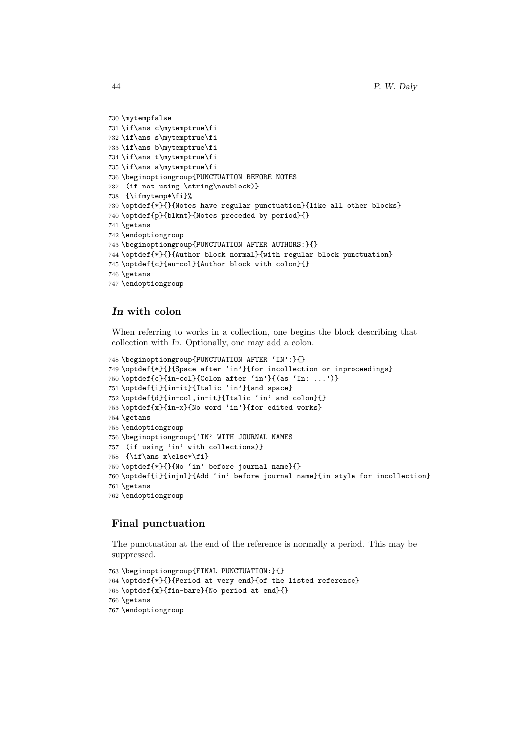```
730 \mytempfalse
731 \if\ans c\mytemptrue\fi
732 \if\ans s\mytemptrue\fi
733 \if\ans b\mytemptrue\fi
734 \if\ans t\mytemptrue\fi
735 \if\ans a\mytemptrue\fi
736 \beginoptiongroup{PUNCTUATION BEFORE NOTES
737 (if not using \string\newblock)}
738 {\ifmytemp*\fi}%
739 \optdef{*}{}{Notes have regular punctuation}{like all other blocks}
740 \optdef{p}{blknt}{Notes preceded by period}{}
741 \getans
742 \endoptiongroup
743 \beginoptiongroup{PUNCTUATION AFTER AUTHORS:}{}
744 \optdef{*}{}{Author block normal}{with regular block punctuation}
745 \optdef{c}{au-col}{Author block with colon}{}
746 \getans
747 \endoptiongroup
```
### In with colon

When referring to works in a collection, one begins the block describing that collection with In. Optionally, one may add a colon.

```
748 \beginoptiongroup{PUNCTUATION AFTER 'IN':}{}
749 \optdef{*}{}{Space after 'in'}{for incollection or inproceedings}
750 \optdef{c}{in-col}{Colon after 'in'}{(as 'In: ...')}
751 \optdef{i}{in-it}{Italic 'in'}{and space}
752 \optdef{d}{in-col,in-it}{Italic 'in' and colon}{}
753 \optdef{x}{in-x}{No word 'in'}{for edited works}
754 \getans
755 \endoptiongroup
756 \beginoptiongroup{'IN' WITH JOURNAL NAMES
757 (if using 'in' with collections)}
758 {\if\ans x\else*\fi}
759 \optdef{*}{}{No 'in' before journal name}{}
760 \optdef{i}{injnl}{Add 'in' before journal name}{in style for incollection}
761 \getans
762 \endoptiongroup
```
### Final punctuation

The punctuation at the end of the reference is normally a period. This may be suppressed.

```
763 \beginoptiongroup{FINAL PUNCTUATION:}{}
764 \optdef{*}{}{Period at very end}{of the listed reference}
765 \optdef{x}{fin-bare}{No period at end}{}
766 \getans
767 \endoptiongroup
```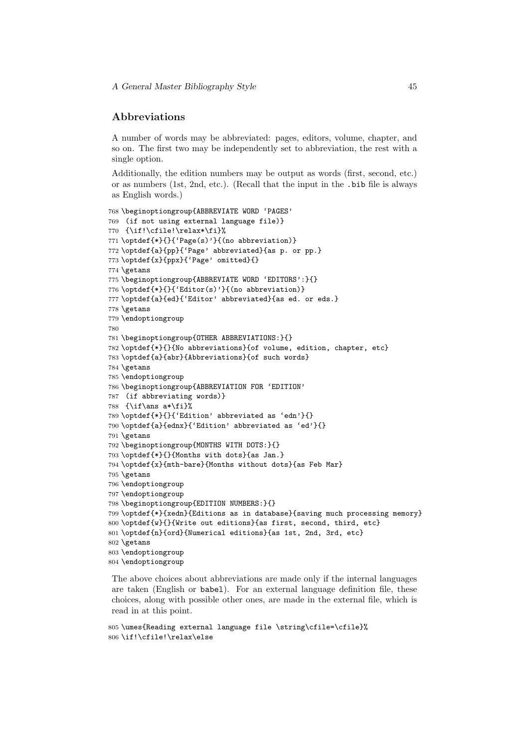### Abbreviations

A number of words may be abbreviated: pages, editors, volume, chapter, and so on. The first two may be independently set to abbreviation, the rest with a single option.

Additionally, the edition numbers may be output as words (first, second, etc.) or as numbers (1st, 2nd, etc.). (Recall that the input in the .bib file is always as English words.)

```
768 \beginoptiongroup{ABBREVIATE WORD 'PAGES'
769 (if not using external language file)}
770 {\if!\cfile!\relax*\fi}%
771 \optdef{*}{}{'Page(s)'}{(no abbreviation)}
772 \optdef{a}{pp}{'Page' abbreviated}{as p. or pp.}
773 \optdef{x}{ppx}{'Page' omitted}{}
774 \getans
775 \beginoptiongroup{ABBREVIATE WORD 'EDITORS':}{}
776 \optdef{*}{}{'Editor(s)'}{(no abbreviation)}
777 \optdef{a}{ed}{'Editor' abbreviated}{as ed. or eds.}
778 \getans
779 \endoptiongroup
780
781 \beginoptiongroup{OTHER ABBREVIATIONS:}{}
782 \optdef{*}{}{No abbreviations}{of volume, edition, chapter, etc}
783 \optdef{a}{abr}{Abbreviations}{of such words}
784 \getans
785 \endoptiongroup
786 \beginoptiongroup{ABBREVIATION FOR 'EDITION'
787 (if abbreviating words)}
788 {\if\ans a*\fi}%
789 \optdef{*}{}{'Edition' abbreviated as 'edn'}{}
790 \optdef{a}{ednx}{'Edition' abbreviated as 'ed'}{}
791 \getans
792 \beginoptiongroup{MONTHS WITH DOTS:}{}
793 \optdef{*}{}{Months with dots}{as Jan.}
794 \optdef{x}{mth-bare}{Months without dots}{as Feb Mar}
795 \getans
796 \endoptiongroup
797 \endoptiongroup
798 \beginoptiongroup{EDITION NUMBERS:}{}
799 \optdef{*}{xedn}{Editions as in database}{saving much processing memory}
800 \optdef{w}{}{Write out editions}{as first, second, third, etc}
801 \optdef{n}{ord}{Numerical editions}{as 1st, 2nd, 3rd, etc}
802 \getans
803 \endoptiongroup
804 \endoptiongroup
```
The above choices about abbreviations are made only if the internal languages are taken (English or babel). For an external language definition file, these choices, along with possible other ones, are made in the external file, which is read in at this point.

```
805 \umes{Reading external language file \string\cfile=\cfile}%
806 \if!\cfile!\relax\else
```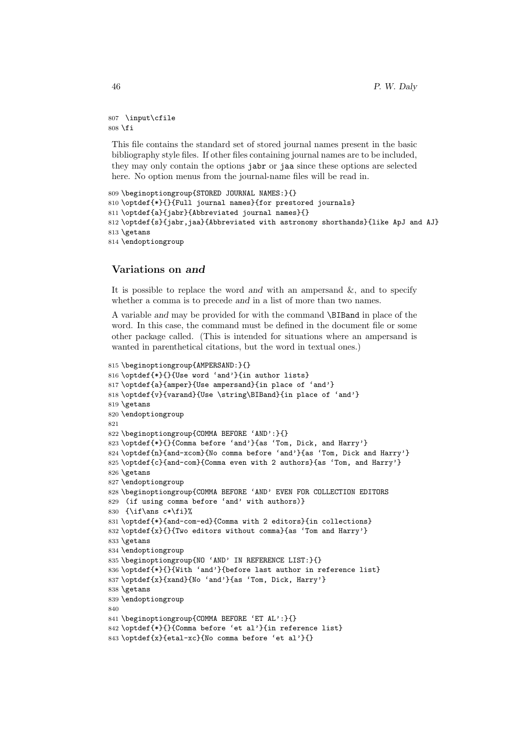```
807 \input\cfile
808 \fi
```
This file contains the standard set of stored journal names present in the basic bibliography style files. If other files containing journal names are to be included, they may only contain the options jabr or jaa since these options are selected here. No option menus from the journal-name files will be read in.

```
809 \beginoptiongroup{STORED JOURNAL NAMES:}{}
810 \optdef{*}{}{Full journal names}{for prestored journals}
811 \optdef{a}{jabr}{Abbreviated journal names}{}
812 \optdef{s}{jabr,jaa}{Abbreviated with astronomy shorthands}{like ApJ and AJ}
813 \getans
814 \endoptiongroup
```
### Variations on and

It is possible to replace the word and with an ampersand  $\&$ , and to specify whether a comma is to precede and in a list of more than two names.

A variable and may be provided for with the command \BIBand in place of the word. In this case, the command must be defined in the document file or some other package called. (This is intended for situations where an ampersand is wanted in parenthetical citations, but the word in textual ones.)

```
815 \beginoptiongroup{AMPERSAND:}{}
816 \optdef{*}{}{Use word 'and'}{in author lists}
817 \optdef{a}{amper}{Use ampersand}{in place of 'and'}
818 \optdef{v}{varand}{Use \string\BIBand}{in place of 'and'}
819 \getans
820 \endoptiongroup
821
822 \beginoptiongroup{COMMA BEFORE 'AND':}{}
823 \optdef{*}{}{Comma before 'and'}{as 'Tom, Dick, and Harry'}
824 \optdef{n}{and-xcom}{No comma before 'and'}{as 'Tom, Dick and Harry'}
825 \optdef{c}{and-com}{Comma even with 2 authors}{as 'Tom, and Harry'}
826 \getans
827 \endoptiongroup
828 \beginoptiongroup{COMMA BEFORE 'AND' EVEN FOR COLLECTION EDITORS
829 (if using comma before 'and' with authors)}
830 \{ \if\ans\ c*\if\}\831 \optdef{*}{and-com-ed}{Comma with 2 editors}{in collections}
832 \optdef{x}{}{Two editors without comma}{as 'Tom and Harry'}
833 \getans
834 \endoptiongroup
835 \beginoptiongroup{NO 'AND' IN REFERENCE LIST:}{}
836 \optdef{*}{}{With 'and'}{before last author in reference list}
837 \optdef{x}{xand}{No 'and'}{as 'Tom, Dick, Harry'}
838 \getans
839 \endoptiongroup
840
841 \beginoptiongroup{COMMA BEFORE 'ET AL':}{}
842 \optdef{*}{}{Comma before 'et al'}{in reference list}
843 \optdef{x}{etal-xc}{No comma before 'et al'}{}
```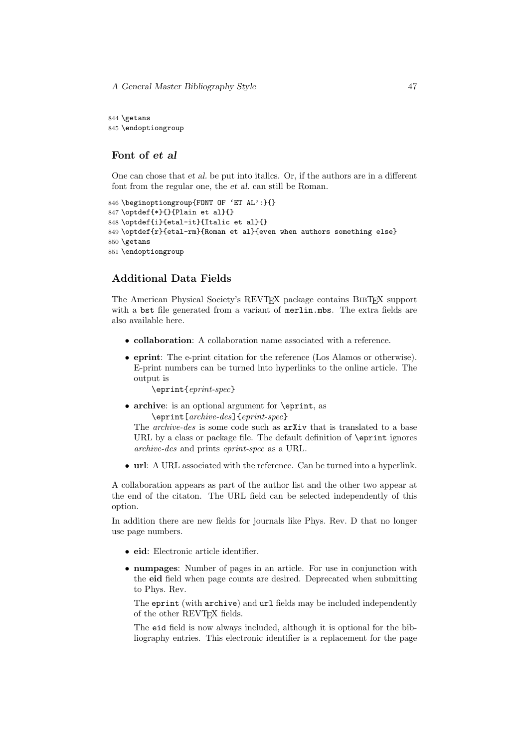A General Master Bibliography Style 47

844 \getans 845 \endoptiongroup

### Font of et al

One can chose that et al. be put into italics. Or, if the authors are in a different font from the regular one, the et al. can still be Roman.

```
846 \beginoptiongroup{FONT OF 'ET AL':}{}
847 \optdef{*}{}{Plain et al}{}
848 \optdef{i}{etal-it}{Italic et al}{}
849 \optdef{r}{etal-rm}{Roman et al}{even when authors something else}
850 \getans
851 \endoptiongroup
```
### Additional Data Fields

The American Physical Society's REVTEX package contains BIBTEX support with a bst file generated from a variant of merlin.mbs. The extra fields are also available here.

- collaboration: A collaboration name associated with a reference.
- eprint: The e-print citation for the reference (Los Alamos or otherwise). E-print numbers can be turned into hyperlinks to the online article. The output is

\eprint{eprint-spec}

• archive: is an optional argument for **\eprint**, as \eprint[archive-des]{eprint-spec}

The archive-des is some code such as arXiv that is translated to a base URL by a class or package file. The default definition of \eprint ignores archive-des and prints eprint-spec as a URL.

• url: A URL associated with the reference. Can be turned into a hyperlink.

A collaboration appears as part of the author list and the other two appear at the end of the citaton. The URL field can be selected independently of this option.

In addition there are new fields for journals like Phys. Rev. D that no longer use page numbers.

- eid: Electronic article identifier.
- numpages: Number of pages in an article. For use in conjunction with the eid field when page counts are desired. Deprecated when submitting to Phys. Rev.

The eprint (with archive) and url fields may be included independently of the other REVT<sub>F</sub>X fields.

The eid field is now always included, although it is optional for the bibliography entries. This electronic identifier is a replacement for the page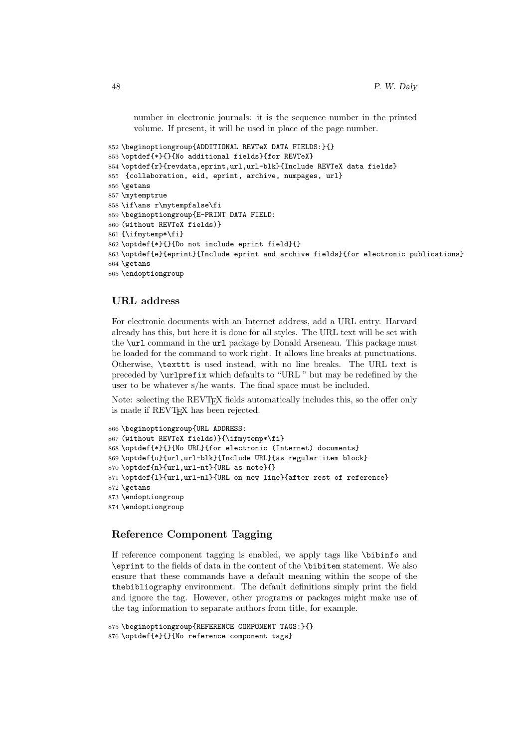number in electronic journals: it is the sequence number in the printed volume. If present, it will be used in place of the page number.

```
852 \beginoptiongroup{ADDITIONAL REVTeX DATA FIELDS:}{}
853 \optdef{*}{}{No additional fields}{for REVTeX}
854 \optdef{r}{revdata,eprint,url,url-blk}{Include REVTeX data fields}
855 {collaboration, eid, eprint, archive, numpages, url}
856 \getans
857 \mytemptrue
858 \if\ans r\mytempfalse\fi
859 \beginoptiongroup{E-PRINT DATA FIELD:
860 (without REVTeX fields)}
861 {\ifmytemp*\fi}
862 \optdef{*}{}{Do not include eprint field}{}
863 \optdef{e}{eprint}{Include eprint and archive fields}{for electronic publications}
864 \getans
865 \endoptiongroup
```
### URL address

For electronic documents with an Internet address, add a URL entry. Harvard already has this, but here it is done for all styles. The URL text will be set with the \url command in the url package by Donald Arseneau. This package must be loaded for the command to work right. It allows line breaks at punctuations. Otherwise, \texttt is used instead, with no line breaks. The URL text is preceded by \urlprefix which defaults to "URL " but may be redefined by the user to be whatever s/he wants. The final space must be included.

Note: selecting the REVT<sub>F</sub>X fields automatically includes this, so the offer only is made if REVT<sub>F</sub>X has been rejected.

```
866 \beginoptiongroup{URL ADDRESS:
867 (without REVTeX fields)}{\ifmytemp*\fi}
868 \optdef{*}{}{No URL}{for electronic (Internet) documents}
869 \optdef{u}{url,url-blk}{Include URL}{as regular item block}
870 \optdef{n}{url,url-nt}{URL as note}{}
871 \optdef{l}{url,url-nl}{URL on new line}{after rest of reference}
872 \getans
873 \endoptiongroup
874 \endoptiongroup
```
### Reference Component Tagging

If reference component tagging is enabled, we apply tags like \bibinfo and \eprint to the fields of data in the content of the \bibitem statement. We also ensure that these commands have a default meaning within the scope of the thebibliography environment. The default definitions simply print the field and ignore the tag. However, other programs or packages might make use of the tag information to separate authors from title, for example.

```
875 \beginoptiongroup{REFERENCE COMPONENT TAGS:}{}
876 \optdef{*}{}{No reference component tags}
```